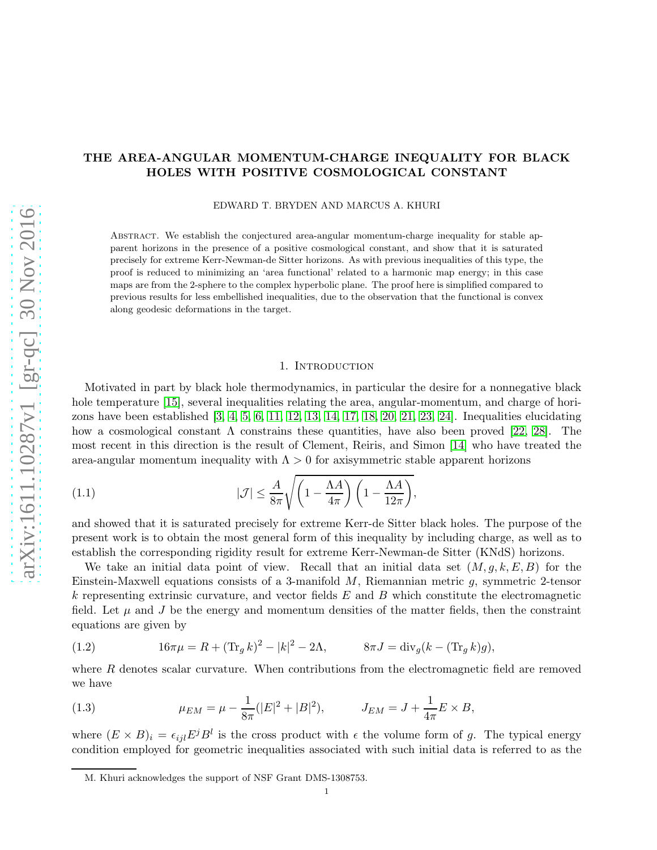# THE AREA-ANGULAR MOMENTUM-CHARGE INEQUALITY FOR BLACK HOLES WITH POSITIVE COSMOLOGICAL CONSTANT

EDWARD T. BRYDEN AND MARCUS A. KHURI

Abstract. We establish the conjectured area-angular momentum-charge inequality for stable apparent horizons in the presence of a positive cosmological constant, and show that it is saturated precisely for extreme Kerr-Newman-de Sitter horizons. As with previous inequalities of this type, the proof is reduced to minimizing an 'area functional' related to a harmonic map energy; in this case maps are from the 2-sphere to the complex hyperbolic plane. The proof here is simplified compared to previous results for less embellished inequalities, due to the observation that the functional is convex along geodesic deformations in the target.

### <span id="page-0-0"></span>1. INTRODUCTION

Motivated in part by black hole thermodynamics, in particular the desire for a nonnegative black hole temperature [\[15\]](#page-20-0), several inequalities relating the area, angular-momentum, and charge of horizons have been established [\[3,](#page-20-1) [4,](#page-20-2) [5,](#page-20-3) [6,](#page-20-4) [11,](#page-20-5) [12,](#page-20-6) [13,](#page-20-7) [14,](#page-20-8) [17,](#page-20-9) [18,](#page-20-10) [20,](#page-20-11) [21,](#page-20-12) [23,](#page-20-13) [24\]](#page-20-14). Inequalities elucidating how a cosmological constant  $\Lambda$  constrains these quantities, have also been proved [\[22,](#page-20-15) [28\]](#page-21-0). The most recent in this direction is the result of Clement, Reiris, and Simon [\[14\]](#page-20-8) who have treated the area-angular momentum inequality with  $\Lambda > 0$  for axisymmetric stable apparent horizons

(1.1) 
$$
|\mathcal{J}| \leq \frac{A}{8\pi} \sqrt{\left(1 - \frac{\Lambda A}{4\pi}\right) \left(1 - \frac{\Lambda A}{12\pi}\right)},
$$

and showed that it is saturated precisely for extreme Kerr-de Sitter black holes. The purpose of the present work is to obtain the most general form of this inequality by including charge, as well as to establish the corresponding rigidity result for extreme Kerr-Newman-de Sitter (KNdS) horizons.

We take an initial data point of view. Recall that an initial data set  $(M, g, k, E, B)$  for the Einstein-Maxwell equations consists of a 3-manifold  $M$ , Riemannian metric  $g$ , symmetric 2-tensor k representing extrinsic curvature, and vector fields  $E$  and  $B$  which constitute the electromagnetic field. Let  $\mu$  and J be the energy and momentum densities of the matter fields, then the constraint equations are given by

(1.2) 
$$
16\pi\mu = R + (\text{Tr}_g k)^2 - |k|^2 - 2\Lambda, \qquad 8\pi J = \text{div}_g (k - (\text{Tr}_g k)g),
$$

where  $R$  denotes scalar curvature. When contributions from the electromagnetic field are removed we have

(1.3) 
$$
\mu_{EM} = \mu - \frac{1}{8\pi} (|E|^2 + |B|^2), \qquad J_{EM} = J + \frac{1}{4\pi} E \times B,
$$

where  $(E \times B)_i = \epsilon_{ijl} E^j B^l$  is the cross product with  $\epsilon$  the volume form of g. The typical energy condition employed for geometric inequalities associated with such initial data is referred to as the

M. Khuri acknowledges the support of NSF Grant DMS-1308753.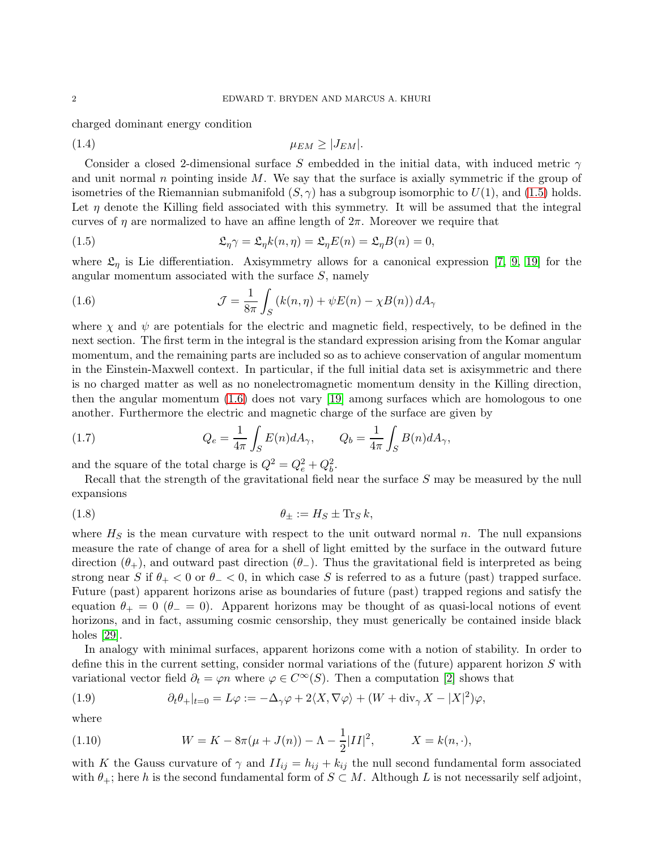charged dominant energy condition

<span id="page-1-2"></span>
$$
\mu_{EM} \ge |J_{EM}|.
$$

Consider a closed 2-dimensional surface S embedded in the initial data, with induced metric  $\gamma$ and unit normal n pointing inside  $M$ . We say that the surface is axially symmetric if the group of isometries of the Riemannian submanifold  $(S, \gamma)$  has a subgroup isomorphic to  $U(1)$ , and  $(1.5)$  holds. Let  $\eta$  denote the Killing field associated with this symmetry. It will be assumed that the integral curves of  $\eta$  are normalized to have an affine length of  $2\pi$ . Moreover we require that

<span id="page-1-0"></span>(1.5) 
$$
\mathfrak{L}_{\eta} \gamma = \mathfrak{L}_{\eta} k(n, \eta) = \mathfrak{L}_{\eta} E(n) = \mathfrak{L}_{\eta} B(n) = 0,
$$

where  $\mathfrak{L}_{\eta}$  is Lie differentiation. Axisymmetry allows for a canonical expression [\[7,](#page-20-16) [9,](#page-20-17) [19\]](#page-20-18) for the angular momentum associated with the surface S, namely

<span id="page-1-1"></span>(1.6) 
$$
\mathcal{J} = \frac{1}{8\pi} \int_{S} \left( k(n,\eta) + \psi E(n) - \chi B(n) \right) dA_{\gamma}
$$

where  $\chi$  and  $\psi$  are potentials for the electric and magnetic field, respectively, to be defined in the next section. The first term in the integral is the standard expression arising from the Komar angular momentum, and the remaining parts are included so as to achieve conservation of angular momentum in the Einstein-Maxwell context. In particular, if the full initial data set is axisymmetric and there is no charged matter as well as no nonelectromagnetic momentum density in the Killing direction, then the angular momentum [\(1.6\)](#page-1-1) does not vary [\[19\]](#page-20-18) among surfaces which are homologous to one another. Furthermore the electric and magnetic charge of the surface are given by

<span id="page-1-3"></span>(1.7) 
$$
Q_e = \frac{1}{4\pi} \int_S E(n) dA_\gamma, \qquad Q_b = \frac{1}{4\pi} \int_S B(n) dA_\gamma,
$$

and the square of the total charge is  $Q^2 = Q_e^2 + Q_b^2$ .

Recall that the strength of the gravitational field near the surface S may be measured by the null expansions

$$
\theta_{\pm} := H_S \pm \text{Tr}_S k,
$$

where  $H<sub>S</sub>$  is the mean curvature with respect to the unit outward normal n. The null expansions measure the rate of change of area for a shell of light emitted by the surface in the outward future direction  $(\theta_+)$ , and outward past direction  $(\theta_-)$ . Thus the gravitational field is interpreted as being strong near S if  $\theta_+ < 0$  or  $\theta_- < 0$ , in which case S is referred to as a future (past) trapped surface. Future (past) apparent horizons arise as boundaries of future (past) trapped regions and satisfy the equation  $\theta_+ = 0$  ( $\theta_- = 0$ ). Apparent horizons may be thought of as quasi-local notions of event horizons, and in fact, assuming cosmic censorship, they must generically be contained inside black holes [\[29\]](#page-21-1).

In analogy with minimal surfaces, apparent horizons come with a notion of stability. In order to define this in the current setting, consider normal variations of the (future) apparent horizon  $S$  with variational vector field  $\partial_t = \varphi n$  where  $\varphi \in C^{\infty}(S)$ . Then a computation [\[2\]](#page-20-19) shows that

<span id="page-1-4"></span>(1.9) 
$$
\partial_t \theta_+|_{t=0} = L\varphi := -\Delta_\gamma \varphi + 2\langle X, \nabla \varphi \rangle + (W + \text{div}_\gamma X - |X|^2)\varphi,
$$

where

(1.10) 
$$
W = K - 8\pi(\mu + J(n)) - \Lambda - \frac{1}{2}|II|^2, \qquad X = k(n, \cdot),
$$

with K the Gauss curvature of  $\gamma$  and  $II_{ij} = h_{ij} + k_{ij}$  the null second fundamental form associated with  $\theta_+$ ; here h is the second fundamental form of  $S \subset M$ . Although L is not necessarily self adjoint,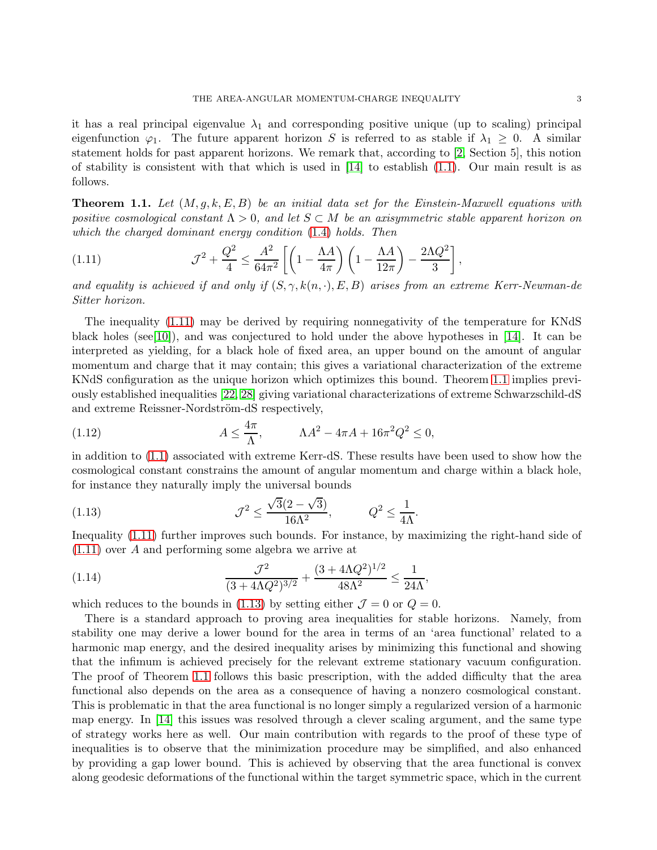it has a real principal eigenvalue  $\lambda_1$  and corresponding positive unique (up to scaling) principal eigenfunction  $\varphi_1$ . The future apparent horizon S is referred to as stable if  $\lambda_1 \geq 0$ . A similar statement holds for past apparent horizons. We remark that, according to [\[2,](#page-20-19) Section 5], this notion of stability is consistent with that which is used in [\[14\]](#page-20-8) to establish [\(1.1\)](#page-0-0). Our main result is as follows.

<span id="page-2-1"></span>**Theorem 1.1.** Let  $(M, q, k, E, B)$  be an initial data set for the Einstein-Maxwell equations with positive cosmological constant  $\Lambda > 0$ , and let  $S \subset M$  be an axisymmetric stable apparent horizon on which the charged dominant energy condition [\(1.4\)](#page-1-2) holds. Then

<span id="page-2-0"></span>
$$
(1.11)\qquad \qquad \mathcal{J}^2 + \frac{Q^2}{4} \le \frac{A^2}{64\pi^2} \left[ \left( 1 - \frac{\Lambda A}{4\pi} \right) \left( 1 - \frac{\Lambda A}{12\pi} \right) - \frac{2\Lambda Q^2}{3} \right]
$$

and equality is achieved if and only if  $(S, \gamma, k(n, \cdot), E, B)$  arises from an extreme Kerr-Newman-de Sitter horizon.

,

The inequality [\(1.11\)](#page-2-0) may be derived by requiring nonnegativity of the temperature for KNdS black holes (see [\[10\]](#page-20-20)), and was conjectured to hold under the above hypotheses in [\[14\]](#page-20-8). It can be interpreted as yielding, for a black hole of fixed area, an upper bound on the amount of angular momentum and charge that it may contain; this gives a variational characterization of the extreme KNdS configuration as the unique horizon which optimizes this bound. Theorem [1.1](#page-2-1) implies previously established inequalities [\[22,](#page-20-15) [28\]](#page-21-0) giving variational characterizations of extreme Schwarzschild-dS and extreme Reissner-Nordström-dS respectively,

(1.12) 
$$
A \le \frac{4\pi}{\Lambda}, \qquad \Lambda A^2 - 4\pi A + 16\pi^2 Q^2 \le 0,
$$

in addition to [\(1.1\)](#page-0-0) associated with extreme Kerr-dS. These results have been used to show how the cosmological constant constrains the amount of angular momentum and charge within a black hole, for instance they naturally imply the universal bounds

<span id="page-2-2"></span>(1.13) 
$$
\mathcal{J}^2 \leq \frac{\sqrt{3}(2-\sqrt{3})}{16\Lambda^2}, \qquad Q^2 \leq \frac{1}{4\Lambda}.
$$

Inequality [\(1.11\)](#page-2-0) further improves such bounds. For instance, by maximizing the right-hand side of [\(1.11\)](#page-2-0) over A and performing some algebra we arrive at

(1.14) 
$$
\frac{\mathcal{J}^2}{(3 + 4\Lambda Q^2)^{3/2}} + \frac{(3 + 4\Lambda Q^2)^{1/2}}{48\Lambda^2} \le \frac{1}{24\Lambda},
$$

which reduces to the bounds in [\(1.13\)](#page-2-2) by setting either  $\mathcal{J} = 0$  or  $Q = 0$ .

There is a standard approach to proving area inequalities for stable horizons. Namely, from stability one may derive a lower bound for the area in terms of an 'area functional' related to a harmonic map energy, and the desired inequality arises by minimizing this functional and showing that the infimum is achieved precisely for the relevant extreme stationary vacuum configuration. The proof of Theorem [1.1](#page-2-1) follows this basic prescription, with the added difficulty that the area functional also depends on the area as a consequence of having a nonzero cosmological constant. This is problematic in that the area functional is no longer simply a regularized version of a harmonic map energy. In [\[14\]](#page-20-8) this issues was resolved through a clever scaling argument, and the same type of strategy works here as well. Our main contribution with regards to the proof of these type of inequalities is to observe that the minimization procedure may be simplified, and also enhanced by providing a gap lower bound. This is achieved by observing that the area functional is convex along geodesic deformations of the functional within the target symmetric space, which in the current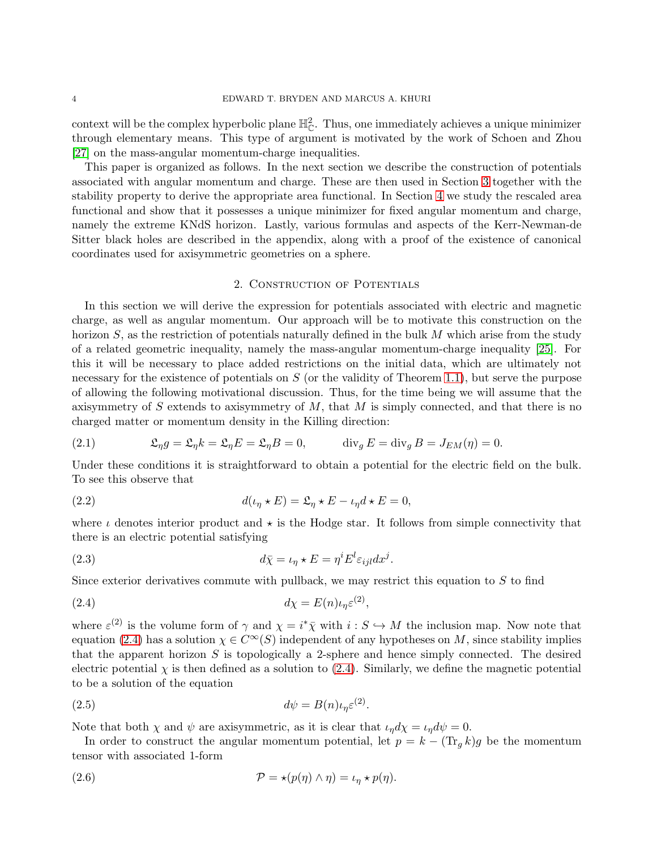context will be the complex hyperbolic plane  $\mathbb{H}_{\mathbb{C}}^2$ . Thus, one immediately achieves a unique minimizer through elementary means. This type of argument is motivated by the work of Schoen and Zhou [\[27\]](#page-21-2) on the mass-angular momentum-charge inequalities.

This paper is organized as follows. In the next section we describe the construction of potentials associated with angular momentum and charge. These are then used in Section [3](#page-5-0) together with the stability property to derive the appropriate area functional. In Section [4](#page-8-0) we study the rescaled area functional and show that it possesses a unique minimizer for fixed angular momentum and charge, namely the extreme KNdS horizon. Lastly, various formulas and aspects of the Kerr-Newman-de Sitter black holes are described in the appendix, along with a proof of the existence of canonical coordinates used for axisymmetric geometries on a sphere.

### 2. Construction of Potentials

<span id="page-3-1"></span>In this section we will derive the expression for potentials associated with electric and magnetic charge, as well as angular momentum. Our approach will be to motivate this construction on the horizon  $S$ , as the restriction of potentials naturally defined in the bulk  $M$  which arise from the study of a related geometric inequality, namely the mass-angular momentum-charge inequality [\[25\]](#page-20-21). For this it will be necessary to place added restrictions on the initial data, which are ultimately not necessary for the existence of potentials on  $S$  (or the validity of Theorem [1.1\)](#page-2-1), but serve the purpose of allowing the following motivational discussion. Thus, for the time being we will assume that the axisymmetry of S extends to axisymmetry of  $M$ , that  $M$  is simply connected, and that there is no charged matter or momentum density in the Killing direction:

(2.1) 
$$
\mathfrak{L}_{\eta}g = \mathfrak{L}_{\eta}k = \mathfrak{L}_{\eta}E = \mathfrak{L}_{\eta}B = 0, \qquad \text{div}_{g}E = \text{div}_{g}B = J_{EM}(\eta) = 0.
$$

Under these conditions it is straightforward to obtain a potential for the electric field on the bulk. To see this observe that

(2.2) 
$$
d(\iota_{\eta} \star E) = \mathfrak{L}_{\eta} \star E - \iota_{\eta} d \star E = 0,
$$

where  $\iota$  denotes interior product and  $\star$  is the Hodge star. It follows from simple connectivity that there is an electric potential satisfying

(2.3) 
$$
d\bar{\chi} = \iota_{\eta} \star E = \eta^{i} E^{l} \varepsilon_{ijl} dx^{j}.
$$

Since exterior derivatives commute with pullback, we may restrict this equation to  $S$  to find

<span id="page-3-0"></span>
$$
d\chi = E(n)\iota_{\eta} \varepsilon^{(2)},
$$

where  $\varepsilon^{(2)}$  is the volume form of  $\gamma$  and  $\chi = i^*\bar{\chi}$  with  $i: S \hookrightarrow M$  the inclusion map. Now note that equation [\(2.4\)](#page-3-0) has a solution  $\chi \in C^{\infty}(S)$  independent of any hypotheses on M, since stability implies that the apparent horizon  $S$  is topologically a 2-sphere and hence simply connected. The desired electric potential  $\chi$  is then defined as a solution to [\(2.4\)](#page-3-0). Similarly, we define the magnetic potential to be a solution of the equation

$$
(2.5) \t\t d\psi = B(n)\iota_{\eta}\varepsilon^{(2)}.
$$

Note that both  $\chi$  and  $\psi$  are axisymmetric, as it is clear that  $\iota_{\eta} d\chi = \iota_{\eta} d\psi = 0$ .

In order to construct the angular momentum potential, let  $p = k - (\text{Tr}_q k)g$  be the momentum tensor with associated 1-form

(2.6) 
$$
\mathcal{P} = \star (p(\eta) \wedge \eta) = \iota_{\eta} \star p(\eta).
$$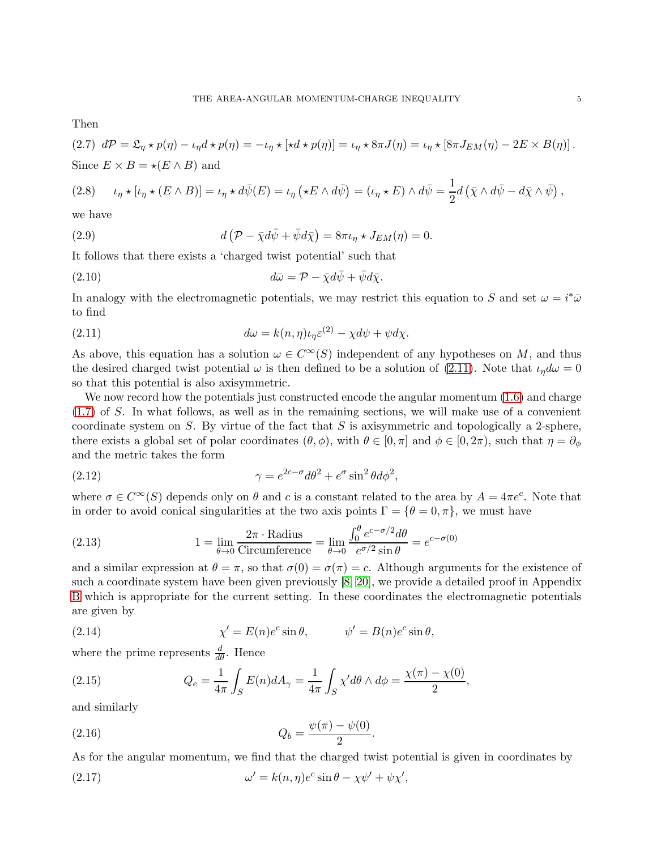Then

(2.7) 
$$
d\mathcal{P} = \mathfrak{L}_{\eta} \star p(\eta) - \iota_{\eta} d \star p(\eta) = -\iota_{\eta} \star [\star d \star p(\eta)] = \iota_{\eta} \star 8\pi J(\eta) = \iota_{\eta} \star [8\pi J_{EM}(\eta) - 2E \times B(\eta)].
$$
 Since  $E \times B = \star (E \wedge B)$  and

$$
(2.8) \qquad \iota_{\eta} \star [\iota_{\eta} \star (E \wedge B)] = \iota_{\eta} \star d\bar{\psi}(E) = \iota_{\eta} (\star E \wedge d\bar{\psi}) = (\iota_{\eta} \star E) \wedge d\bar{\psi} = \frac{1}{2} d (\bar{\chi} \wedge d\bar{\psi} - d\bar{\chi} \wedge \bar{\psi}),
$$

we have

(2.9) 
$$
d\left(\mathcal{P} - \bar{\chi} d\bar{\psi} + \bar{\psi} d\bar{\chi}\right) = 8\pi \iota_{\eta} \star J_{EM}(\eta) = 0.
$$

It follows that there exists a 'charged twist potential' such that

(2.10) 
$$
d\bar{\omega} = \mathcal{P} - \bar{\chi} d\bar{\psi} + \bar{\psi} d\bar{\chi}.
$$

In analogy with the electromagnetic potentials, we may restrict this equation to S and set  $\omega = i^* \bar{\omega}$ to find

<span id="page-4-0"></span>(2.11) 
$$
d\omega = k(n,\eta)\iota_{\eta}\varepsilon^{(2)} - \chi d\psi + \psi d\chi.
$$

As above, this equation has a solution  $\omega \in C^{\infty}(S)$  independent of any hypotheses on M, and thus the desired charged twist potential  $\omega$  is then defined to be a solution of [\(2.11\)](#page-4-0). Note that  $\iota_n d\omega = 0$ so that this potential is also axisymmetric.

We now record how the potentials just constructed encode the angular momentum  $(1.6)$  and charge [\(1.7\)](#page-1-3) of S. In what follows, as well as in the remaining sections, we will make use of a convenient coordinate system on  $S$ . By virtue of the fact that  $S$  is axisymmetric and topologically a 2-sphere, there exists a global set of polar coordinates  $(\theta, \phi)$ , with  $\theta \in [0, \pi]$  and  $\phi \in [0, 2\pi)$ , such that  $\eta = \partial_{\phi}$ and the metric takes the form

<span id="page-4-3"></span>(2.12) 
$$
\gamma = e^{2c-\sigma} d\theta^2 + e^{\sigma} \sin^2 \theta d\phi^2,
$$

where  $\sigma \in C^{\infty}(S)$  depends only on  $\theta$  and c is a constant related to the area by  $A = 4\pi e^{c}$ . Note that in order to avoid conical singularities at the two axis points  $\Gamma = {\theta = 0, \pi}$ , we must have

(2.13) 
$$
1 = \lim_{\theta \to 0} \frac{2\pi \cdot \text{Radius}}{\text{Circumference}} = \lim_{\theta \to 0} \frac{\int_0^{\theta} e^{c - \sigma/2} d\theta}{e^{\sigma/2} \sin \theta} = e^{c - \sigma(0)}
$$

and a similar expression at  $\theta = \pi$ , so that  $\sigma(0) = \sigma(\pi) = c$ . Although arguments for the existence of such a coordinate system have been given previously [\[8,](#page-20-22) [20\]](#page-20-11), we provide a detailed proof in Appendix [B](#page-18-0) which is appropriate for the current setting. In these coordinates the electromagnetic potentials are given by

<span id="page-4-1"></span>(2.14) 
$$
\chi' = E(n)e^c \sin \theta, \qquad \psi' = B(n)e^c \sin \theta,
$$

where the prime represents  $\frac{d}{d\theta}$ . Hence

<span id="page-4-4"></span>(2.15) 
$$
Q_e = \frac{1}{4\pi} \int_S E(n) dA_\gamma = \frac{1}{4\pi} \int_S \chi' d\theta \wedge d\phi = \frac{\chi(\pi) - \chi(0)}{2},
$$

and similarly

<span id="page-4-5"></span>(2.16) 
$$
Q_b = \frac{\psi(\pi) - \psi(0)}{2}.
$$

As for the angular momentum, we find that the charged twist potential is given in coordinates by

<span id="page-4-2"></span>(2.17) 
$$
\omega' = k(n, \eta)e^c \sin \theta - \chi \psi' + \psi \chi',
$$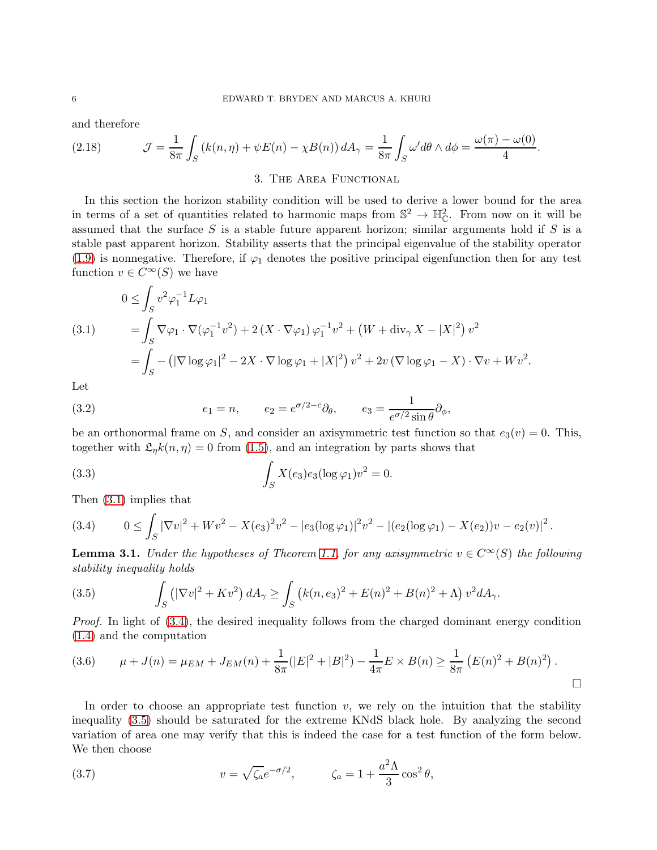and therefore

<span id="page-5-6"></span><span id="page-5-0"></span>(2.18) 
$$
\mathcal{J} = \frac{1}{8\pi} \int_{S} \left( k(n,\eta) + \psi E(n) - \chi B(n) \right) dA_{\gamma} = \frac{1}{8\pi} \int_{S} \omega' d\theta \wedge d\phi = \frac{\omega(\pi) - \omega(0)}{4}.
$$

### 3. THE AREA FUNCTIONAL

In this section the horizon stability condition will be used to derive a lower bound for the area in terms of a set of quantities related to harmonic maps from  $\mathbb{S}^2 \to \mathbb{H}_{\mathbb{C}}^2$ . From now on it will be assumed that the surface  $S$  is a stable future apparent horizon; similar arguments hold if  $S$  is a stable past apparent horizon. Stability asserts that the principal eigenvalue of the stability operator [\(1.9\)](#page-1-4) is nonnegative. Therefore, if  $\varphi_1$  denotes the positive principal eigenfunction then for any test function  $v \in C^{\infty}(S)$  we have

<span id="page-5-1"></span>(3.1) 
$$
0 \leq \int_{S} v^{2} \varphi_{1}^{-1} L \varphi_{1} = \int_{S} \nabla \varphi_{1} \cdot \nabla (\varphi_{1}^{-1} v^{2}) + 2 (X \cdot \nabla \varphi_{1}) \varphi_{1}^{-1} v^{2} + (W + \text{div}_{\gamma} X - |X|^{2}) v^{2} = \int_{S} - (|\nabla \log \varphi_{1}|^{2} - 2X \cdot \nabla \log \varphi_{1} + |X|^{2}) v^{2} + 2v (\nabla \log \varphi_{1} - X) \cdot \nabla v + W v^{2}.
$$

Let

(3.2) 
$$
e_1 = n, \qquad e_2 = e^{\sigma/2 - c} \partial_{\theta}, \qquad e_3 = \frac{1}{e^{\sigma/2} \sin \theta} \partial_{\phi},
$$

be an orthonormal frame on S, and consider an axisymmetric test function so that  $e_3(v) = 0$ . This, together with  $\mathfrak{L}_n k(n,\eta) = 0$  from [\(1.5\)](#page-1-0), and an integration by parts shows that

(3.3) 
$$
\int_{S} X(e_3)e_3(\log \varphi_1)v^2 = 0.
$$

Then [\(3.1\)](#page-5-1) implies that

<span id="page-5-2"></span>
$$
(3.4) \qquad 0 \leq \int_S |\nabla v|^2 + Wv^2 - X(e_3)^2v^2 - |e_3(\log \varphi_1)|^2v^2 - |(e_2(\log \varphi_1) - X(e_2))v - e_2(v)|^2.
$$

<span id="page-5-4"></span>**Lemma 3.1.** Under the hypotheses of Theorem [1.1,](#page-2-1) for any axisymmetric  $v \in C^{\infty}(S)$  the following stability inequality holds

<span id="page-5-3"></span>(3.5) 
$$
\int_{S} (|\nabla v|^{2} + Kv^{2}) dA_{\gamma} \ge \int_{S} (k(n, e_{3})^{2} + E(n)^{2} + B(n)^{2} + \Lambda) v^{2} dA_{\gamma}.
$$

Proof. In light of  $(3.4)$ , the desired inequality follows from the charged dominant energy condition [\(1.4\)](#page-1-2) and the computation

$$
(3.6) \qquad \mu + J(n) = \mu_{EM} + J_{EM}(n) + \frac{1}{8\pi} (|E|^2 + |B|^2) - \frac{1}{4\pi} E \times B(n) \ge \frac{1}{8\pi} (E(n)^2 + B(n)^2).
$$

In order to choose an appropriate test function  $v$ , we rely on the intuition that the stability inequality [\(3.5\)](#page-5-3) should be saturated for the extreme KNdS black hole. By analyzing the second variation of area one may verify that this is indeed the case for a test function of the form below. We then choose

<span id="page-5-5"></span>(3.7) 
$$
v = \sqrt{\zeta_a} e^{-\sigma/2}, \qquad \zeta_a = 1 + \frac{a^2 \Lambda}{3} \cos^2 \theta,
$$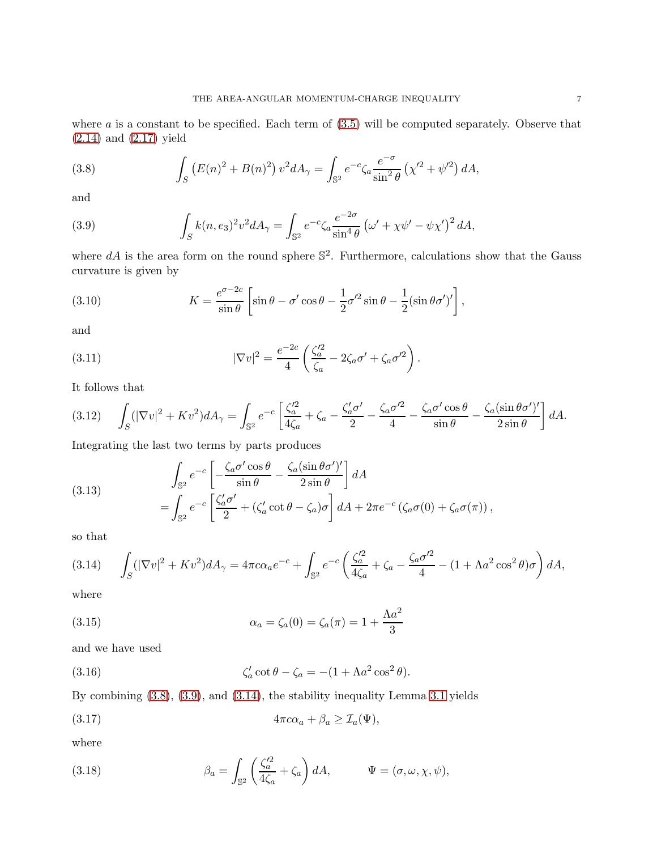where  $a$  is a constant to be specified. Each term of  $(3.5)$  will be computed separately. Observe that [\(2.14\)](#page-4-1) and [\(2.17\)](#page-4-2) yield

<span id="page-6-0"></span>(3.8) 
$$
\int_{S} (E(n)^{2} + B(n)^{2}) v^{2} dA_{\gamma} = \int_{\mathbb{S}^{2}} e^{-c} \zeta_{a} \frac{e^{-\sigma}}{\sin^{2} \theta} (\chi'^{2} + \psi'^{2}) dA,
$$

and

<span id="page-6-1"></span>(3.9) 
$$
\int_{S} k(n,e_3)^2 v^2 dA_{\gamma} = \int_{\mathbb{S}^2} e^{-c} \zeta_a \frac{e^{-2\sigma}}{\sin^4 \theta} \left( \omega' + \chi \psi' - \psi \chi' \right)^2 dA,
$$

where  $dA$  is the area form on the round sphere  $\mathbb{S}^2$ . Furthermore, calculations show that the Gauss curvature is given by

(3.10) 
$$
K = \frac{e^{\sigma - 2c}}{\sin \theta} \left[ \sin \theta - \sigma' \cos \theta - \frac{1}{2} \sigma'^2 \sin \theta - \frac{1}{2} (\sin \theta \sigma')' \right],
$$

and

(3.11) 
$$
|\nabla v|^2 = \frac{e^{-2c}}{4} \left( \frac{\zeta_a'^2}{\zeta_a} - 2\zeta_a \sigma' + \zeta_a \sigma'^2 \right).
$$

It follows that

$$
(3.12)\qquad \int_{S} (|\nabla v|^{2} + Kv^{2}) dA_{\gamma} = \int_{\mathbb{S}^{2}} e^{-c} \left[ \frac{\zeta_{a}^{\prime 2}}{4\zeta_{a}} + \zeta_{a} - \frac{\zeta_{a}^{\prime}\sigma^{\prime}}{2} - \frac{\zeta_{a}\sigma^{\prime 2}}{4} - \frac{\zeta_{a}\sigma^{\prime}\cos\theta}{\sin\theta} - \frac{\zeta_{a}(\sin\theta\sigma^{\prime})^{\prime}}{2\sin\theta} \right] dA.
$$

Integrating the last two terms by parts produces

(3.13) 
$$
\int_{\mathbb{S}^2} e^{-c} \left[ -\frac{\zeta_a \sigma' \cos \theta}{\sin \theta} - \frac{\zeta_a (\sin \theta \sigma')'}{2 \sin \theta} \right] dA \n= \int_{\mathbb{S}^2} e^{-c} \left[ \frac{\zeta'_a \sigma'}{2} + (\zeta'_a \cot \theta - \zeta_a) \sigma \right] dA + 2\pi e^{-c} \left( \zeta_a \sigma(0) + \zeta_a \sigma(\pi) \right),
$$

so that

<span id="page-6-2"></span>
$$
(3.14) \qquad \int_{S} (|\nabla v|^{2} + Kv^{2}) dA_{\gamma} = 4\pi c \alpha_{a} e^{-c} + \int_{\mathbb{S}^{2}} e^{-c} \left( \frac{\zeta_{a}^{\prime 2}}{4\zeta_{a}} + \zeta_{a} - \frac{\zeta_{a} \sigma^{\prime 2}}{4} - (1 + \Lambda a^{2} \cos^{2} \theta) \sigma \right) dA,
$$

where

(3.15) 
$$
\alpha_a = \zeta_a(0) = \zeta_a(\pi) = 1 + \frac{\Lambda a^2}{3}
$$

and we have used

<span id="page-6-4"></span>(3.16) 
$$
\zeta_a' \cot \theta - \zeta_a = -(1 + \Lambda a^2 \cos^2 \theta).
$$

By combining [\(3.8\)](#page-6-0), [\(3.9\)](#page-6-1), and [\(3.14\)](#page-6-2), the stability inequality Lemma [3.1](#page-5-4) yields

<span id="page-6-3"></span>(3.17) 
$$
4\pi c\alpha_a + \beta_a \geq \mathcal{I}_a(\Psi),
$$

where

(3.18) 
$$
\beta_a = \int_{\mathbb{S}^2} \left( \frac{\zeta_a'^2}{4\zeta_a} + \zeta_a \right) dA, \qquad \Psi = (\sigma, \omega, \chi, \psi),
$$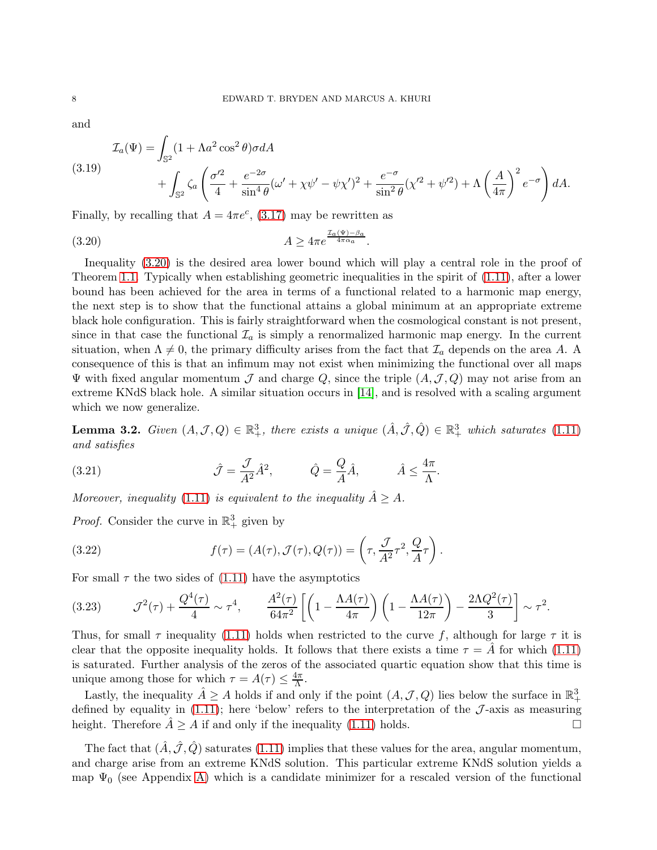and

<span id="page-7-1"></span>
$$
\mathcal{I}_a(\Psi) = \int_{\mathbb{S}^2} (1 + \Lambda a^2 \cos^2 \theta) \sigma dA
$$
\n
$$
(3.19) \qquad \qquad + \int_{\mathbb{S}^2} \zeta_a \left( \frac{\sigma'^2}{4} + \frac{e^{-2\sigma}}{\sin^4 \theta} (\omega' + \chi \psi' - \psi \chi')^2 + \frac{e^{-\sigma}}{\sin^2 \theta} (\chi'^2 + \psi'^2) + \Lambda \left( \frac{A}{4\pi} \right)^2 e^{-\sigma} \right) dA.
$$

Finally, by recalling that  $A = 4\pi e^c$ , [\(3.17\)](#page-6-3) may be rewritten as

<span id="page-7-0"></span>
$$
(3.20) \t\t A \ge 4\pi e^{\frac{\mathcal{I}_a(\Psi) - \beta_a}{4\pi\alpha_a}}.
$$

Inequality [\(3.20\)](#page-7-0) is the desired area lower bound which will play a central role in the proof of Theorem [1.1.](#page-2-1) Typically when establishing geometric inequalities in the spirit of [\(1.11\)](#page-2-0), after a lower bound has been achieved for the area in terms of a functional related to a harmonic map energy, the next step is to show that the functional attains a global minimum at an appropriate extreme black hole configuration. This is fairly straightforward when the cosmological constant is not present, since in that case the functional  $\mathcal{I}_a$  is simply a renormalized harmonic map energy. In the current situation, when  $\Lambda \neq 0$ , the primary difficulty arises from the fact that  $\mathcal{I}_a$  depends on the area A. A consequence of this is that an infimum may not exist when minimizing the functional over all maps  $\Psi$  with fixed angular momentum  $\mathcal J$  and charge Q, since the triple  $(A,\mathcal J,Q)$  may not arise from an extreme KNdS black hole. A similar situation occurs in [\[14\]](#page-20-8), and is resolved with a scaling argument which we now generalize.

<span id="page-7-2"></span>**Lemma 3.2.** Given  $(A, \mathcal{J}, Q) \in \mathbb{R}^3_+$ , there exists a unique  $(\hat{A}, \hat{\mathcal{J}}, \hat{Q}) \in \mathbb{R}^3_+$  which saturates [\(1.11\)](#page-2-0) and satisfies

(3.21) 
$$
\hat{\mathcal{J}} = \frac{\mathcal{J}}{A^2} \hat{A}^2, \qquad \hat{Q} = \frac{Q}{A} \hat{A}, \qquad \hat{A} \le \frac{4\pi}{\Lambda}.
$$

Moreover, inequality [\(1.11\)](#page-2-0) is equivalent to the inequality  $\hat{A} \geq A$ .

*Proof.* Consider the curve in  $\mathbb{R}^3_+$  given by

(3.22) 
$$
f(\tau) = (A(\tau), \mathcal{J}(\tau), Q(\tau)) = \left(\tau, \frac{\mathcal{J}}{A^2} \tau^2, \frac{Q}{A} \tau\right).
$$

For small  $\tau$  the two sides of [\(1.11\)](#page-2-0) have the asymptotics

(3.23) 
$$
\mathcal{J}^2(\tau) + \frac{Q^4(\tau)}{4} \sim \tau^4, \qquad \frac{A^2(\tau)}{64\pi^2} \left[ \left( 1 - \frac{\Lambda A(\tau)}{4\pi} \right) \left( 1 - \frac{\Lambda A(\tau)}{12\pi} \right) - \frac{2\Lambda Q^2(\tau)}{3} \right] \sim \tau^2.
$$

Thus, for small  $\tau$  inequality [\(1.11\)](#page-2-0) holds when restricted to the curve f, although for large  $\tau$  it is clear that the opposite inequality holds. It follows that there exists a time  $\tau = \tilde{A}$  for which [\(1.11\)](#page-2-0) is saturated. Further analysis of the zeros of the associated quartic equation show that this time is unique among those for which  $\tau = A(\tau) \leq \frac{4\pi}{\Lambda}$ .

Lastly, the inequality  $\hat{A} \geq A$  holds if and only if the point  $(A, \mathcal{J}, Q)$  lies below the surface in  $\mathbb{R}^3_+$ defined by equality in [\(1.11\)](#page-2-0); here 'below' refers to the interpretation of the  $\mathcal{J}$ -axis as measuring height. Therefore  $\hat{A} > A$  if and only if the inequality (1.11) holds. height. Therefore  $A \geq A$  if and only if the inequality [\(1.11\)](#page-2-0) holds.

The fact that  $(A, \mathcal{J}, Q)$  saturates [\(1.11\)](#page-2-0) implies that these values for the area, angular momentum, and charge arise from an extreme KNdS solution. This particular extreme KNdS solution yields a map  $\Psi_0$  (see Appendix [A\)](#page-15-0) which is a candidate minimizer for a rescaled version of the functional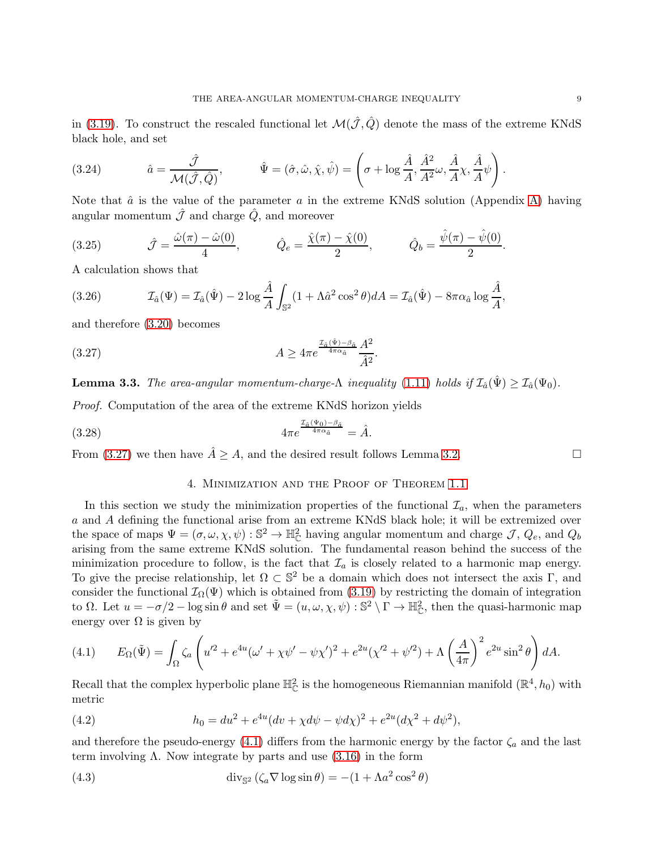in [\(3.19\)](#page-7-1). To construct the rescaled functional let  $\mathcal{M}(\hat{\mathcal{J}},\hat{Q})$  denote the mass of the extreme KNdS black hole, and set

(3.24) 
$$
\hat{a} = \frac{\hat{\mathcal{J}}}{\mathcal{M}(\hat{\mathcal{J}}, \hat{Q})}, \qquad \hat{\Psi} = (\hat{\sigma}, \hat{\omega}, \hat{\chi}, \hat{\psi}) = \left(\sigma + \log \frac{\hat{A}}{A}, \frac{\hat{A}^2}{A^2} \omega, \frac{\hat{A}}{A} \chi, \frac{\hat{A}}{A} \psi\right).
$$

Note that  $\hat{a}$  is the value of the parameter  $a$  in the extreme KNdS solution (Appendix [A\)](#page-15-0) having angular momentum  $\hat{\mathcal{J}}$  and charge  $\hat{Q}$ , and moreover

(3.25) 
$$
\hat{\mathcal{J}} = \frac{\hat{\omega}(\pi) - \hat{\omega}(0)}{4}, \qquad \hat{Q}_e = \frac{\hat{\chi}(\pi) - \hat{\chi}(0)}{2}, \qquad \hat{Q}_b = \frac{\hat{\psi}(\pi) - \hat{\psi}(0)}{2}.
$$

A calculation shows that

(3.26) 
$$
\mathcal{I}_{\hat{a}}(\Psi) = \mathcal{I}_{\hat{a}}(\hat{\Psi}) - 2\log \frac{\hat{A}}{A} \int_{\mathbb{S}^2} (1 + \Lambda \hat{a}^2 \cos^2 \theta) dA = \mathcal{I}_{\hat{a}}(\hat{\Psi}) - 8\pi \alpha_{\hat{a}} \log \frac{\hat{A}}{A},
$$

and therefore [\(3.20\)](#page-7-0) becomes

$$
(3.27) \t\t A \ge 4\pi e^{\frac{\mathcal{I}_{\hat{a}}(\hat{\Psi}) - \beta_{\hat{a}}}{4\pi\alpha_{\hat{a}}}}\frac{A^2}{\hat{A}^2}.
$$

<span id="page-8-3"></span>**Lemma 3.3.** The area-angular momentum-charge- $\Lambda$  inequality [\(1.11\)](#page-2-0) holds if  $\mathcal{I}_{\hat{a}}(\hat{\Psi}) \geq \mathcal{I}_{\hat{a}}(\Psi_0)$ .

Proof. Computation of the area of the extreme KNdS horizon yields

$$
(3.28) \t 4\pi e^{\frac{\mathcal{I}_{\hat{a}}(\Psi_0)-\beta_{\hat{a}}}{4\pi\alpha_{\hat{a}}}} = \hat{A}.
$$

<span id="page-8-0"></span>From [\(3.27\)](#page-8-1) we then have  $\hat{A} \geq A$ , and the desired result follows Lemma [3.2.](#page-7-2)

<span id="page-8-1"></span>4. Minimization and the Proof of Theorem [1.1](#page-2-1)

In this section we study the minimization properties of the functional  $\mathcal{I}_a$ , when the parameters a and A defining the functional arise from an extreme KNdS black hole; it will be extremized over the space of maps  $\Psi = (\sigma, \omega, \chi, \psi) : \mathbb{S}^2 \to \mathbb{H}_{\mathbb{C}}^2$  having angular momentum and charge  $\mathcal{J}, Q_e$ , and  $Q_b$ arising from the same extreme KNdS solution. The fundamental reason behind the success of the minimization procedure to follow, is the fact that  $\mathcal{I}_a$  is closely related to a harmonic map energy. To give the precise relationship, let  $\Omega \subset \mathbb{S}^2$  be a domain which does not intersect the axis  $\Gamma$ , and consider the functional  $\mathcal{I}_{\Omega}(\Psi)$  which is obtained from [\(3.19\)](#page-7-1) by restricting the domain of integration to  $\Omega$ . Let  $u = -\sigma/2 - \log \sin \theta$  and set  $\tilde{\Psi} = (u, \omega, \chi, \psi) : \mathbb{S}^2 \setminus \Gamma \to \mathbb{H}_{\mathbb{C}}^2$ , then the quasi-harmonic map energy over  $\Omega$  is given by

<span id="page-8-2"></span>(4.1) 
$$
E_{\Omega}(\tilde{\Psi}) = \int_{\Omega} \zeta_a \left( u'^2 + e^{4u} (\omega' + \chi \psi' - \psi \chi')^2 + e^{2u} (\chi'^2 + \psi'^2) + \Lambda \left( \frac{A}{4\pi} \right)^2 e^{2u} \sin^2 \theta \right) dA.
$$

Recall that the complex hyperbolic plane  $\mathbb{H}_{\mathbb{C}}^2$  is the homogeneous Riemannian manifold  $(\mathbb{R}^4, h_0)$  with metric

(4.2) 
$$
h_0 = du^2 + e^{4u}(dv + \chi d\psi - \psi d\chi)^2 + e^{2u}(d\chi^2 + d\psi^2),
$$

and therefore the pseudo-energy [\(4.1\)](#page-8-2) differs from the harmonic energy by the factor  $\zeta_a$  and the last term involving  $\Lambda$ . Now integrate by parts and use  $(3.16)$  in the form

(4.3) 
$$
\operatorname{div}_{\mathbb{S}^2} (\zeta_a \nabla \log \sin \theta) = -(1 + \Lambda a^2 \cos^2 \theta)
$$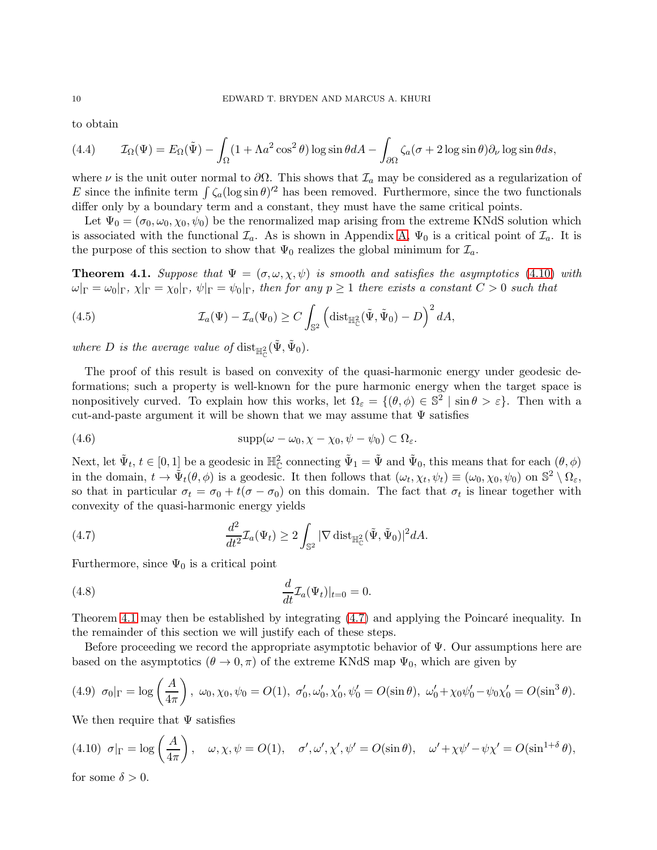to obtain

(4.4) 
$$
\mathcal{I}_{\Omega}(\Psi) = E_{\Omega}(\tilde{\Psi}) - \int_{\Omega} (1 + \Lambda a^2 \cos^2 \theta) \log \sin \theta dA - \int_{\partial \Omega} \zeta_a(\sigma + 2 \log \sin \theta) \partial_\nu \log \sin \theta ds,
$$

where  $\nu$  is the unit outer normal to  $\partial\Omega$ . This shows that  $\mathcal{I}_a$  may be considered as a regularization of E since the infinite term  $\int \zeta_a (\log \sin \theta)^2$  has been removed. Furthermore, since the two functionals differ only by a boundary term and a constant, they must have the same critical points.

Let  $\Psi_0 = (\sigma_0, \omega_0, \chi_0, \psi_0)$  be the renormalized map arising from the extreme KNdS solution which is associated with the functional  $\mathcal{I}_a$ . As is shown in Appendix [A,](#page-15-0)  $\Psi_0$  is a critical point of  $\mathcal{I}_a$ . It is the purpose of this section to show that  $\Psi_0$  realizes the global minimum for  $\mathcal{I}_a$ .

<span id="page-9-1"></span>**Theorem 4.1.** Suppose that  $\Psi = (\sigma, \omega, \chi, \psi)$  is smooth and satisfies the asymptotics [\(4.10\)](#page-9-0) with  $\omega|_{\Gamma} = \omega_0|_{\Gamma}$ ,  $\chi|_{\Gamma} = \chi_0|_{\Gamma}$ ,  $\psi|_{\Gamma} = \psi_0|_{\Gamma}$ , then for any  $p \ge 1$  there exists a constant  $C > 0$  such that

(4.5) 
$$
\mathcal{I}_a(\Psi) - \mathcal{I}_a(\Psi_0) \ge C \int_{\mathbb{S}^2} \left( \mathrm{dist}_{\mathbb{H}_{\mathbb{C}}^2}(\tilde{\Psi}, \tilde{\Psi}_0) - D \right)^2 dA,
$$

where D is the average value of  $\text{dist}_{\mathbb{H}_{\mathbb{C}}^2}(\tilde{\Psi}, \tilde{\Psi}_0)$ .

The proof of this result is based on convexity of the quasi-harmonic energy under geodesic deformations; such a property is well-known for the pure harmonic energy when the target space is nonpositively curved. To explain how this works, let  $\Omega_{\varepsilon} = \{(\theta, \phi) \in \mathbb{S}^2 \mid \sin \theta > \varepsilon\}$ . Then with a cut-and-paste argument it will be shown that we may assume that  $\Psi$  satisfies

<span id="page-9-3"></span>(4.6) 
$$
\text{supp}(\omega - \omega_0, \chi - \chi_0, \psi - \psi_0) \subset \Omega_{\varepsilon}.
$$

Next, let  $\tilde{\Psi}_t$ ,  $t \in [0,1]$  be a geodesic in  $\mathbb{H}_{\mathbb{C}}^2$  connecting  $\tilde{\Psi}_1 = \tilde{\Psi}$  and  $\tilde{\Psi}_0$ , this means that for each  $(\theta, \phi)$ in the domain,  $t \to \tilde{\Psi}_t(\theta, \phi)$  is a geodesic. It then follows that  $(\omega_t, \chi_t, \psi_t) \equiv (\omega_0, \chi_0, \psi_0)$  on  $\mathbb{S}^2 \setminus \Omega_{\varepsilon}$ , so that in particular  $\sigma_t = \sigma_0 + t(\sigma - \sigma_0)$  on this domain. The fact that  $\sigma_t$  is linear together with convexity of the quasi-harmonic energy yields

<span id="page-9-2"></span>(4.7) 
$$
\frac{d^2}{dt^2} \mathcal{I}_a(\Psi_t) \geq 2 \int_{\mathbb{S}^2} |\nabla \operatorname{dist}_{\mathbb{H}_{\mathbb{C}}^2}(\tilde{\Psi}, \tilde{\Psi}_0)|^2 dA.
$$

Furthermore, since  $\Psi_0$  is a critical point

<span id="page-9-5"></span>(4.8) 
$$
\frac{d}{dt}\mathcal{I}_a(\Psi_t)|_{t=0}=0.
$$

Theorem [4.1](#page-9-1) may then be established by integrating  $(4.7)$  and applying the Poincaré inequality. In the remainder of this section we will justify each of these steps.

Before proceeding we record the appropriate asymptotic behavior of Ψ. Our assumptions here are based on the asymptotics  $(\theta \to 0, \pi)$  of the extreme KNdS map  $\Psi_0$ , which are given by

<span id="page-9-4"></span>
$$
(4.9) \ \sigma_0|_{\Gamma} = \log\left(\frac{A}{4\pi}\right), \ \omega_0, \chi_0, \psi_0 = O(1), \ \sigma'_0, \omega'_0, \chi'_0, \psi'_0 = O(\sin\theta), \ \omega'_0 + \chi_0\psi'_0 - \psi_0\chi'_0 = O(\sin^3\theta).
$$

We then require that  $\Psi$  satisfies

<span id="page-9-0"></span>
$$
(4.10) \ \sigma|_{\Gamma} = \log\left(\frac{A}{4\pi}\right), \quad \omega, \chi, \psi = O(1), \quad \sigma', \omega', \chi', \psi' = O(\sin\theta), \quad \omega' + \chi\psi' - \psi\chi' = O(\sin^{1+\delta}\theta),
$$

for some  $\delta > 0$ .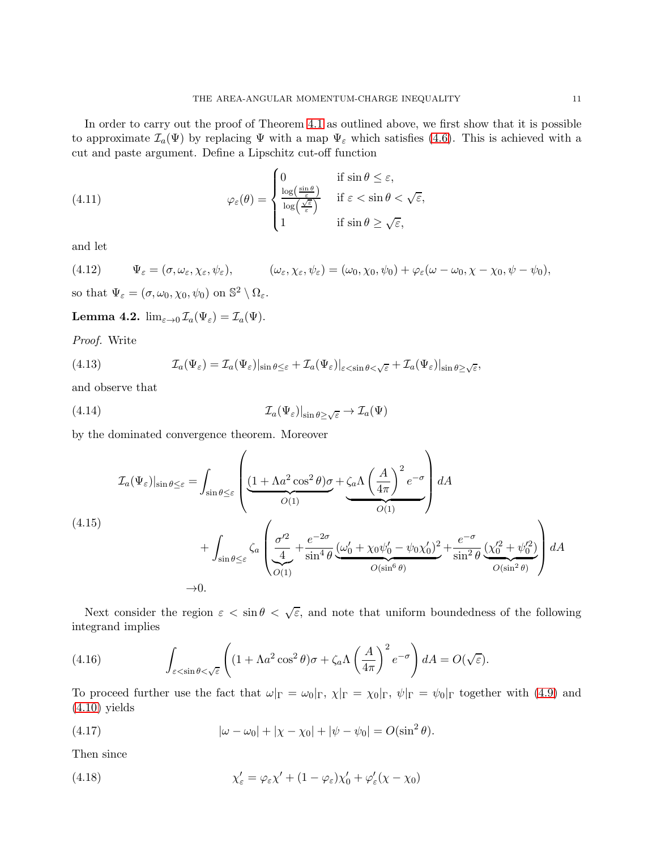In order to carry out the proof of Theorem [4.1](#page-9-1) as outlined above, we first show that it is possible to approximate  $\mathcal{I}_a(\Psi)$  by replacing  $\Psi$  with a map  $\Psi_{\varepsilon}$  which satisfies [\(4.6\)](#page-9-3). This is achieved with a cut and paste argument. Define a Lipschitz cut-off function

(4.11) 
$$
\varphi_{\varepsilon}(\theta) = \begin{cases} 0 & \text{if } \sin \theta \leq \varepsilon, \\ \frac{\log(\frac{\sin \theta}{\varepsilon})}{\log(\frac{\sqrt{\varepsilon}}{\varepsilon})} & \text{if } \varepsilon < \sin \theta < \sqrt{\varepsilon}, \\ 1 & \text{if } \sin \theta \geq \sqrt{\varepsilon}, \end{cases}
$$

and let

(4.12) 
$$
\Psi_{\varepsilon} = (\sigma, \omega_{\varepsilon}, \chi_{\varepsilon}, \psi_{\varepsilon}), \qquad (\omega_{\varepsilon}, \chi_{\varepsilon}, \psi_{\varepsilon}) = (\omega_0, \chi_0, \psi_0) + \varphi_{\varepsilon}(\omega - \omega_0, \chi - \chi_0, \psi - \psi_0),
$$

so that  $\Psi_{\varepsilon} = (\sigma, \omega_0, \chi_0, \psi_0)$  on  $\mathbb{S}^2 \setminus \Omega_{\varepsilon}$ .

<span id="page-10-0"></span>Lemma 4.2.  $\lim_{\varepsilon \to 0} \mathcal{I}_a(\Psi_{\varepsilon}) = \mathcal{I}_a(\Psi)$ .

Proof. Write

(4.13) 
$$
\mathcal{I}_a(\Psi_{\varepsilon}) = \mathcal{I}_a(\Psi_{\varepsilon})|_{\sin \theta \leq \varepsilon} + \mathcal{I}_a(\Psi_{\varepsilon})|_{\varepsilon < \sin \theta < \sqrt{\varepsilon}} + \mathcal{I}_a(\Psi_{\varepsilon})|_{\sin \theta \geq \sqrt{\varepsilon}},
$$

and observe that

(4.14) 
$$
\mathcal{I}_a(\Psi_\varepsilon)|_{\sin\theta\geq\sqrt{\varepsilon}}\to\mathcal{I}_a(\Psi)
$$

by the dominated convergence theorem. Moreover

$$
\mathcal{I}_{a}(\Psi_{\varepsilon})|_{\sin\theta\leq\varepsilon} = \int_{\sin\theta\leq\varepsilon} \left( \underbrace{\frac{(1+\Lambda a^{2}\cos^{2}\theta)\sigma}_{O(1)}}_{O(1)} + \underbrace{\zeta_{a}\Lambda\left(\frac{A}{4\pi}\right)^{2}e^{-\sigma}}_{O(1)} \right) dA
$$
\n
$$
(4.15)
$$
\n
$$
+ \int_{\sin\theta\leq\varepsilon} \zeta_{a} \left( \underbrace{\frac{\sigma'^{2}}{4}}_{O(1)} + \frac{e^{-2\sigma}}{\sin^{4}\theta} \underbrace{(\omega'_{0} + \chi_{0}\psi'_{0} - \psi_{0}\chi'_{0})^{2}}_{O(\sin^{6}\theta)} + \frac{e^{-\sigma}}{\sin^{2}\theta} \underbrace{(\chi'^{2}_{0} + \psi'^{2}_{0})}_{O(\sin^{2}\theta)} \right) dA
$$
\n
$$
\to 0.
$$

Next consider the region  $\varepsilon < \sin \theta < \sqrt{\varepsilon}$ , and note that uniform boundedness of the following integrand implies

(4.16) 
$$
\int_{\varepsilon < \sin \theta < \sqrt{\varepsilon}} \left( (1 + \Lambda a^2 \cos^2 \theta) \sigma + \zeta_a \Lambda \left( \frac{A}{4\pi} \right)^2 e^{-\sigma} \right) dA = O(\sqrt{\varepsilon}).
$$

To proceed further use the fact that  $\omega|_{\Gamma} = \omega_0|_{\Gamma}$ ,  $\chi|_{\Gamma} = \chi_0|_{\Gamma}$ ,  $\psi|_{\Gamma} = \psi_0|_{\Gamma}$  together with [\(4.9\)](#page-9-4) and [\(4.10\)](#page-9-0) yields

(4.17) 
$$
|\omega - \omega_0| + |\chi - \chi_0| + |\psi - \psi_0| = O(\sin^2 \theta).
$$

Then since

(4.18) 
$$
\chi'_{\varepsilon} = \varphi_{\varepsilon} \chi' + (1 - \varphi_{\varepsilon}) \chi'_{0} + \varphi'_{\varepsilon} (\chi - \chi_{0})
$$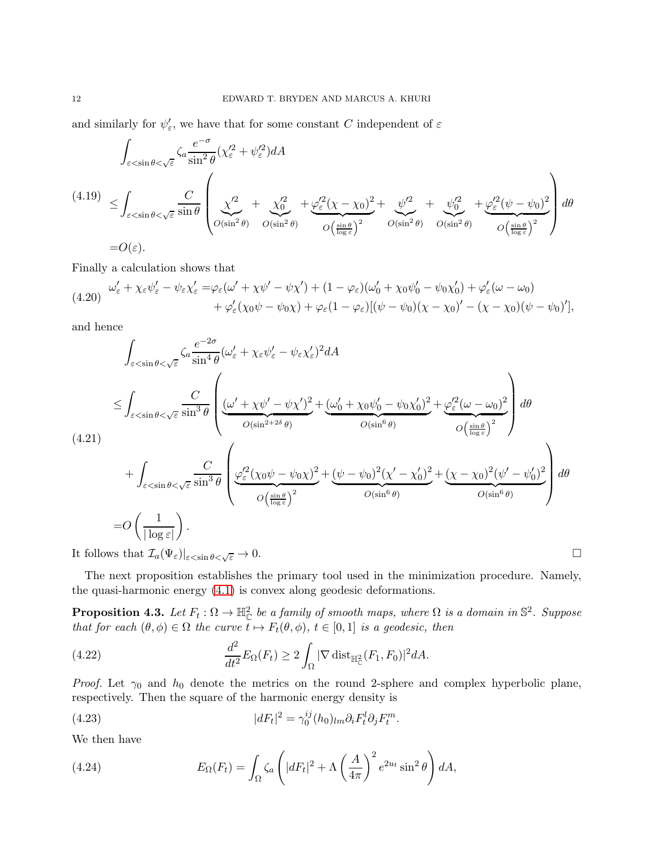and similarly for  $\psi_{\varepsilon}'$ , we have that for some constant C independent of  $\varepsilon$ 

$$
\int_{\varepsilon < \sin \theta < \sqrt{\varepsilon}} \zeta_a \frac{e^{-\sigma}}{\sin^2 \theta} (\chi_{\varepsilon}^2 + \psi_{\varepsilon}^2) dA
$$
\n
$$
(4.19) \leq \int_{\varepsilon < \sin \theta < \sqrt{\varepsilon}} \frac{C}{\sin \theta} \left( \frac{\chi^2}{\omega_{\sin^2 \theta}} + \frac{\chi_0^2}{\omega_{\sin^2 \theta}} + \frac{\psi_{\varepsilon}^2 (\chi - \chi_0)^2}{\omega_{\sin^2 \theta}} + \frac{\psi_{\varepsilon}^2}{\omega_{\sin^2 \theta}} + \frac{\psi_{0}^2}{\omega_{\sin^2 \theta}} + \frac{\psi_{\varepsilon}^2 (\psi - \psi_0)^2}{\omega_{\sin^2 \theta}} \right) d\theta
$$
\n
$$
= O(\varepsilon).
$$

Finally a calculation shows that

$$
(4.20) \quad \frac{\omega_{\varepsilon}^{\prime} + \chi_{\varepsilon} \psi_{\varepsilon}^{\prime} - \psi_{\varepsilon} \chi_{\varepsilon}^{\prime}}{\varepsilon} = \varphi_{\varepsilon} (\omega^{\prime} + \chi \psi^{\prime} - \psi \chi^{\prime}) + (1 - \varphi_{\varepsilon}) (\omega_{0}^{\prime} + \chi_{0} \psi_{0}^{\prime} - \psi_{0} \chi_{0}^{\prime}) + \varphi_{\varepsilon}^{\prime} (\omega - \omega_{0}) + \varphi_{\varepsilon}^{\prime} (\chi_{0} \psi - \psi_{0} \chi) + \varphi_{\varepsilon} (1 - \varphi_{\varepsilon}) [(\psi - \psi_{0}) (\chi - \chi_{0})^{\prime} - (\chi - \chi_{0}) (\psi - \psi_{0})^{\prime}],
$$

and hence

$$
\int_{\varepsilon < \sin \theta < \sqrt{\varepsilon}} \zeta_a \frac{e^{-2\sigma}}{\sin^4 \theta} (\omega_{\varepsilon}^{\prime} + \chi_{\varepsilon} \psi_{\varepsilon}^{\prime} - \psi_{\varepsilon} \chi_{\varepsilon}^{\prime})^2 dA
$$
\n
$$
\leq \int_{\varepsilon < \sin \theta < \sqrt{\varepsilon}} \frac{C}{\sin^3 \theta} \left( \frac{(\omega^{\prime} + \chi \psi^{\prime} - \psi \chi^{\prime})^2}{\omega(\sin^{2} + 2\delta \theta)} + \frac{(\omega_0^{\prime} + \chi_0 \psi_0^{\prime} - \psi_0 \chi_0^{\prime})^2}{\omega(\sin^6 \theta)} + \int_{\varepsilon < \sin \theta < \sqrt{\varepsilon}} \frac{C}{\sin^3 \theta} \left( \frac{\varphi_{\varepsilon}^{\prime 2} (\chi_0 \psi - \psi_0 \chi)^2}{\omega(\frac{\sin \theta}{\log \varepsilon})^2} + \frac{(\psi - \psi_0)^2 (\chi^{\prime} - \chi_0^{\prime})^2}{\omega(\sin^6 \theta)} + \frac{(\chi - \chi_0)^2 (\psi^{\prime} - \psi_0^{\prime})^2}{\omega(\sin^6 \theta)} \right) d\theta
$$
\n
$$
= O\left(\frac{1}{|\log \varepsilon|}\right).
$$
\nIt follows that  $\mathcal{I}_a(\Psi_{\varepsilon})|_{\varepsilon < \sin \theta < \sqrt{\varepsilon} \to 0$ .

It follows that  $\mathcal{I}_a(\Psi_{\varepsilon})|_{\varepsilon < \sin \theta < \sqrt{\varepsilon}} \to 0$ .

The next proposition establishes the primary tool used in the minimization procedure. Namely, the quasi-harmonic energy [\(4.1\)](#page-8-2) is convex along geodesic deformations.

<span id="page-11-0"></span>**Proposition 4.3.** Let  $F_t: \Omega \to \mathbb{H}_{\mathbb{C}}^2$  be a family of smooth maps, where  $\Omega$  is a domain in  $\mathbb{S}^2$ . Suppose that for each  $(\theta, \phi) \in \Omega$  the curve  $t \mapsto F_t(\theta, \phi)$ ,  $t \in [0, 1]$  is a geodesic, then

(4.22) 
$$
\frac{d^2}{dt^2} E_{\Omega}(F_t) \geq 2 \int_{\Omega} |\nabla \operatorname{dist}_{\mathbb{H}_{\mathbb{C}}^2}(F_1, F_0)|^2 dA.
$$

*Proof.* Let  $\gamma_0$  and  $h_0$  denote the metrics on the round 2-sphere and complex hyperbolic plane, respectively. Then the square of the harmonic energy density is

.

(4.23) 
$$
|dF_t|^2 = \gamma_0^{ij}(h_0)_{lm}\partial_i F_t^l \partial_j F_t^m
$$

We then have

(4.24) 
$$
E_{\Omega}(F_t) = \int_{\Omega} \zeta_a \left( |dF_t|^2 + \Lambda \left( \frac{A}{4\pi} \right)^2 e^{2u_t} \sin^2 \theta \right) dA,
$$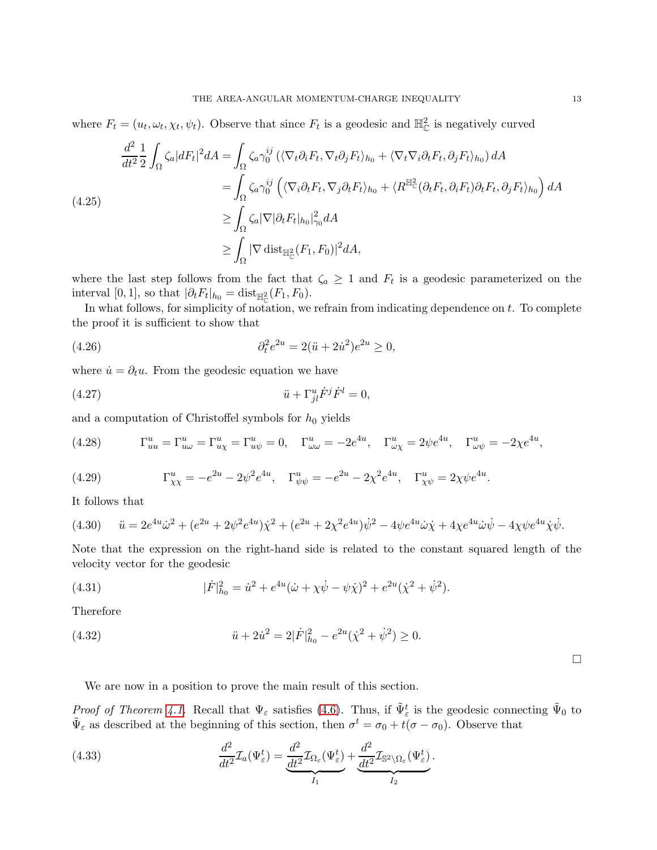where  $F_t = (u_t, \omega_t, \chi_t, \psi_t)$ . Observe that since  $F_t$  is a geodesic and  $\mathbb{H}_{\mathbb{C}}^2$  is negatively curved

$$
\frac{d^2}{dt^2} \frac{1}{2} \int_{\Omega} \zeta_a |dF_t|^2 dA = \int_{\Omega} \zeta_a \gamma_0^{ij} \left( \langle \nabla_t \partial_i F_t, \nabla_t \partial_j F_t \rangle_{h_0} + \langle \nabla_t \nabla_i \partial_t F_t, \partial_j F_t \rangle_{h_0} \right) dA
$$
\n
$$
= \int_{\Omega} \zeta_a \gamma_0^{ij} \left( \langle \nabla_i \partial_t F_t, \nabla_j \partial_t F_t \rangle_{h_0} + \langle R^{\mathbb{H}^2} (\partial_t F_t, \partial_i F_t) \partial_t F_t, \partial_j F_t \rangle_{h_0} \right) dA
$$
\n
$$
\geq \int_{\Omega} \zeta_a |\nabla |\partial_t F_t|_{h_0}|_{\gamma_0}^2 dA
$$
\n
$$
\geq \int_{\Omega} |\nabla \operatorname{dist}_{\mathbb{H}^2_{\mathbb{C}}}(F_1, F_0)|^2 dA,
$$

where the last step follows from the fact that  $\zeta_a \geq 1$  and  $F_t$  is a geodesic parameterized on the interval [0, 1], so that  $|\partial_t F_t|_{h_0} = \text{dist}_{\mathbb{H}^2_{\mathbb{C}}}(F_1, F_0)$ .

In what follows, for simplicity of notation, we refrain from indicating dependence on  $t$ . To complete the proof it is sufficient to show that

(4.26) 
$$
\partial_t^2 e^{2u} = 2(\ddot{u} + 2\dot{u}^2)e^{2u} \ge 0,
$$

where  $\dot{u} = \partial_t u$ . From the geodesic equation we have

(4.27) ¨u + Γ<sup>u</sup> jlF˙ jF˙ <sup>l</sup> = 0,

and a computation of Christoffel symbols for  $h_0$  yields

(4.28) 
$$
\Gamma_{uu}^u = \Gamma_{u\omega}^u = \Gamma_{u\chi}^u = \Gamma_{u\psi}^u = 0, \quad \Gamma_{\omega\omega}^u = -2e^{4u}, \quad \Gamma_{\omega\chi}^u = 2\psi e^{4u}, \quad \Gamma_{\omega\psi}^u = -2\chi e^{4u},
$$

(4.29) 
$$
\Gamma_{\chi\chi}^{u} = -e^{2u} - 2\psi^{2}e^{4u}, \quad \Gamma_{\psi\psi}^{u} = -e^{2u} - 2\chi^{2}e^{4u}, \quad \Gamma_{\chi\psi}^{u} = 2\chi\psi e^{4u}.
$$

It follows that

$$
(4.30) \quad \ddot{u} = 2e^{4u}\dot{\omega}^2 + (e^{2u} + 2\psi^2 e^{4u})\dot{\chi}^2 + (e^{2u} + 2\chi^2 e^{4u})\dot{\psi}^2 - 4\psi e^{4u}\dot{\omega}\dot{\chi} + 4\chi e^{4u}\dot{\omega}\dot{\psi} - 4\chi\psi e^{4u}\dot{\chi}\dot{\psi}.
$$

Note that the expression on the right-hand side is related to the constant squared length of the velocity vector for the geodesic

(4.31) 
$$
|\dot{F}|_{h_0}^2 = \dot{u}^2 + e^{4u}(\dot{\omega} + \chi\dot{\psi} - \psi\dot{\chi})^2 + e^{2u}(\dot{\chi}^2 + \dot{\psi}^2).
$$

Therefore

(4.32) 
$$
\ddot{u} + 2\dot{u}^2 = 2|\dot{F}|_{h_0}^2 - e^{2u}(\dot{\chi}^2 + \dot{\psi}^2) \ge 0.
$$

 $\Box$ 

We are now in a position to prove the main result of this section.

Proof of Theorem [4.1.](#page-9-1) Recall that  $\Psi_{\varepsilon}$  satisfies [\(4.6\)](#page-9-3). Thus, if  $\tilde{\Psi}_{\varepsilon}^{t}$  is the geodesic connecting  $\tilde{\Psi}_{0}$  to  $\tilde{\Psi}_{\varepsilon}$  as described at the beginning of this section, then  $\sigma^t = \sigma_0 + t(\sigma - \sigma_0)$ . Observe that

(4.33) 
$$
\frac{d^2}{dt^2} \mathcal{I}_a(\Psi_{\varepsilon}^t) = \underbrace{\frac{d^2}{dt^2} \mathcal{I}_{\Omega_{\varepsilon}}(\Psi_{\varepsilon}^t)}_{I_1} + \underbrace{\frac{d^2}{dt^2} \mathcal{I}_{\mathbb{S}^2 \setminus \Omega_{\varepsilon}}(\Psi_{\varepsilon}^t)}_{I_2}.
$$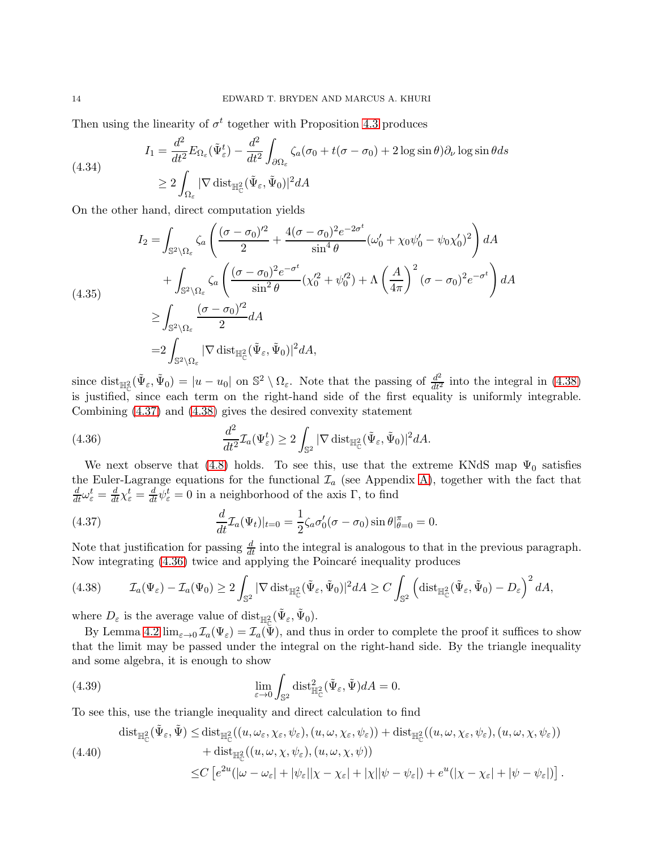Then using the linearity of  $\sigma^t$  together with Proposition [4.3](#page-11-0) produces

(4.34)  
\n
$$
I_1 = \frac{d^2}{dt^2} E_{\Omega_{\varepsilon}}(\tilde{\Psi}_{\varepsilon}^t) - \frac{d^2}{dt^2} \int_{\partial\Omega_{\varepsilon}} \zeta_a(\sigma_0 + t(\sigma - \sigma_0) + 2 \log \sin \theta) \partial_{\nu} \log \sin \theta ds
$$
\n
$$
\geq 2 \int_{\Omega_{\varepsilon}} |\nabla \operatorname{dist}_{\mathbb{H}_{\mathbb{C}}^2}(\tilde{\Psi}_{\varepsilon}, \tilde{\Psi}_0)|^2 dA
$$

On the other hand, direct computation yields

$$
I_2 = \int_{\mathbb{S}^2 \setminus \Omega_{\varepsilon}} \zeta_a \left( \frac{(\sigma - \sigma_0)^2}{2} + \frac{4(\sigma - \sigma_0)^2 e^{-2\sigma^t}}{\sin^4 \theta} (\omega_0' + \chi_0 \psi_0' - \psi_0 \chi_0')^2 \right) dA
$$
  
+ 
$$
\int_{\mathbb{S}^2 \setminus \Omega_{\varepsilon}} \zeta_a \left( \frac{(\sigma - \sigma_0)^2 e^{-\sigma^t}}{\sin^2 \theta} (\chi_0'^2 + \psi_0'^2) + \Lambda \left( \frac{A}{4\pi} \right)^2 (\sigma - \sigma_0)^2 e^{-\sigma^t} \right) dA
$$
  

$$
\geq \int_{\mathbb{S}^2 \setminus \Omega_{\varepsilon}} \frac{(\sigma - \sigma_0)^2}{2} dA
$$
  
= 
$$
2 \int_{\mathbb{S}^2 \setminus \Omega_{\varepsilon}} |\nabla \operatorname{dist}_{\mathbb{H}_{\mathbb{C}}^2} (\tilde{\Psi}_{\varepsilon}, \tilde{\Psi}_0)|^2 dA,
$$

since dist<sub> $\mathbb{H}^2_{\mathbb{C}}(\tilde{\Psi}_{\varepsilon}, \tilde{\Psi}_0) = |u - u_0|$  on  $\mathbb{S}^2 \setminus \Omega_{\varepsilon}$ . Note that the passing of  $\frac{d^2}{dt^2}$  into the integral in [\(4.38\)](#page-13-0)</sub> is justified, since each term on the right-hand side of the first equality is uniformly integrable. Combining [\(4.37\)](#page-13-1) and [\(4.38\)](#page-13-0) gives the desired convexity statement

<span id="page-13-2"></span>(4.36) 
$$
\frac{d^2}{dt^2} \mathcal{I}_a(\Psi_{\varepsilon}^t) \ge 2 \int_{\mathbb{S}^2} |\nabla \operatorname{dist}_{\mathbb{H}_{\mathbb{C}}^2}(\tilde{\Psi}_{\varepsilon}, \tilde{\Psi}_0)|^2 dA.
$$

We next observe that [\(4.8\)](#page-9-5) holds. To see this, use that the extreme KNdS map  $\Psi_0$  satisfies the Euler-Lagrange equations for the functional  $\mathcal{I}_a$  (see Appendix [A\)](#page-15-0), together with the fact that  $\frac{d}{dt}\omega_{\varepsilon}^{t} = \frac{d}{dt}\gamma_{\varepsilon}^{t} = 0$  in a neighborhood of the axis  $\Gamma$ , to find

<span id="page-13-1"></span>(4.37) 
$$
\frac{d}{dt}\mathcal{I}_a(\Psi_t)|_{t=0} = \frac{1}{2}\zeta_a\sigma'_0(\sigma-\sigma_0)\sin\theta|_{\theta=0}^{\pi} = 0.
$$

Note that justification for passing  $\frac{d}{dt}$  into the integral is analogous to that in the previous paragraph. Now integrating  $(4.36)$  twice and applying the Poincaré inequality produces

<span id="page-13-0"></span>
$$
(4.38) \qquad \mathcal{I}_a(\Psi_{\varepsilon}) - \mathcal{I}_a(\Psi_0) \ge 2 \int_{\mathbb{S}^2} |\nabla \operatorname{dist}_{\mathbb{H}^2_{\mathbb{C}}}(\tilde{\Psi}_{\varepsilon}, \tilde{\Psi}_0)|^2 dA \ge C \int_{\mathbb{S}^2} \left( \operatorname{dist}_{\mathbb{H}^2_{\mathbb{C}}}(\tilde{\Psi}_{\varepsilon}, \tilde{\Psi}_0) - D_{\varepsilon} \right)^2 dA,
$$

where  $D_{\varepsilon}$  is the average value of  $\mathrm{dist}_{\mathbb{H}_{\mathbb{C}}^2}(\tilde{\Psi}_{\varepsilon}, \tilde{\Psi}_0).$ 

By Lemma [4.2](#page-10-0)  $\lim_{\varepsilon\to 0} \mathcal{I}_a(\Psi_{\varepsilon}) = \mathcal{I}_a(\Psi)$ , and thus in order to complete the proof it suffices to show that the limit may be passed under the integral on the right-hand side. By the triangle inequality and some algebra, it is enough to show

<span id="page-13-3"></span>(4.39) 
$$
\lim_{\varepsilon \to 0} \int_{\mathbb{S}^2} \text{dist}_{\mathbb{H}_{\mathbb{C}}^2}^2(\tilde{\Psi}_{\varepsilon}, \tilde{\Psi}) dA = 0.
$$

To see this, use the triangle inequality and direct calculation to find

$$
\operatorname{dist}_{\mathbb{H}_{\mathbb{C}}^{2}}(\tilde{\Psi}_{\varepsilon},\tilde{\Psi}) \leq \operatorname{dist}_{\mathbb{H}_{\mathbb{C}}^{2}}((u,\omega_{\varepsilon},\chi_{\varepsilon},\psi_{\varepsilon}),(u,\omega,\chi_{\varepsilon},\psi_{\varepsilon}))+\operatorname{dist}_{\mathbb{H}_{\mathbb{C}}^{2}}((u,\omega,\chi_{\varepsilon},\psi_{\varepsilon}),(u,\omega,\chi,\psi_{\varepsilon}))\n+ \operatorname{dist}_{\mathbb{H}_{\mathbb{C}}^{2}}((u,\omega,\chi,\psi_{\varepsilon}),(u,\omega,\chi,\psi))\n\leq C\left[e^{2u}(|\omega-\omega_{\varepsilon}|+|\psi_{\varepsilon}||\chi-\chi_{\varepsilon}|+|\chi||\psi-\psi_{\varepsilon}|)+e^{u}(|\chi-\chi_{\varepsilon}|+|\psi-\psi_{\varepsilon}|)\right].
$$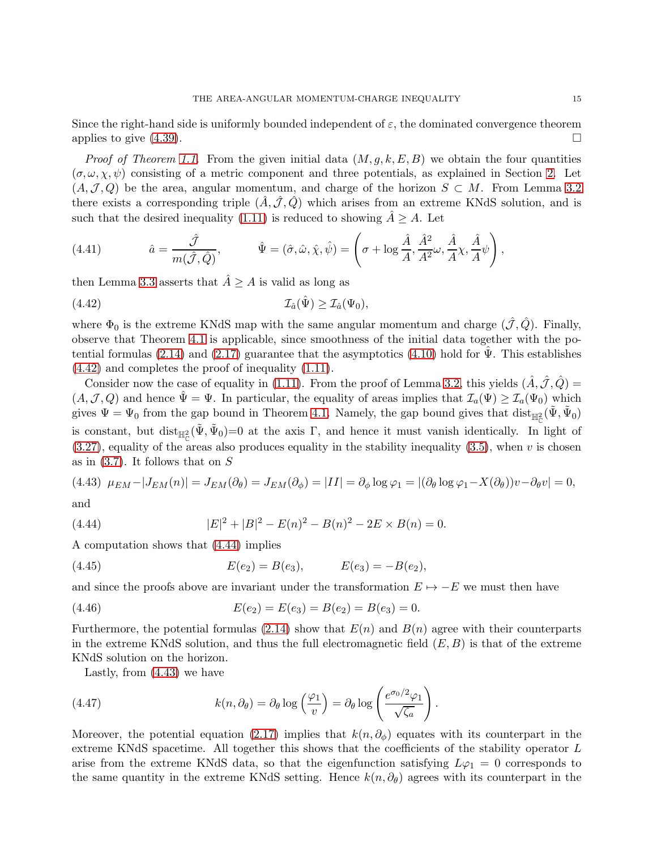Since the right-hand side is uniformly bounded independent of  $\varepsilon$ , the dominated convergence theorem applies to give  $(4.39)$ .

*Proof of Theorem [1.1.](#page-2-1)* From the given initial data  $(M, g, k, E, B)$  we obtain the four quantities  $(\sigma, \omega, \chi, \psi)$  consisting of a metric component and three potentials, as explained in Section [2.](#page-3-1) Let  $(A,\mathcal{J},Q)$  be the area, angular momentum, and charge of the horizon  $S\subset M$ . From Lemma [3.2](#page-7-2) there exists a corresponding triple  $(\hat{A}, \hat{\mathcal{J}}, \hat{Q})$  which arises from an extreme KNdS solution, and is such that the desired inequality [\(1.11\)](#page-2-0) is reduced to showing  $\hat{A} \geq A$ . Let

(4.41) 
$$
\hat{a} = \frac{\hat{\mathcal{J}}}{m(\hat{\mathcal{J}}, \hat{Q})}, \qquad \hat{\Psi} = (\hat{\sigma}, \hat{\omega}, \hat{\chi}, \hat{\psi}) = \left(\sigma + \log \frac{\hat{A}}{A}, \frac{\hat{A}^2}{A^2} \omega, \frac{\hat{A}}{A} \chi, \frac{\hat{A}}{A} \psi\right),
$$

then Lemma [3.3](#page-8-3) asserts that  $\hat{A} \geq A$  is valid as long as

<span id="page-14-0"></span>(4.42) 
$$
\mathcal{I}_{\hat{a}}(\hat{\Psi}) \geq \mathcal{I}_{\hat{a}}(\Psi_0),
$$

where  $\Phi_0$  is the extreme KNdS map with the same angular momentum and charge  $(\hat{\mathcal{J}}, \hat{Q})$ . Finally, observe that Theorem [4.1](#page-9-1) is applicable, since smoothness of the initial data together with the po-tential formulas [\(2.14\)](#page-4-1) and [\(2.17\)](#page-4-2) guarantee that the asymptotics [\(4.10\)](#page-9-0) hold for  $\Psi$ . This establishes [\(4.42\)](#page-14-0) and completes the proof of inequality [\(1.11\)](#page-2-0).

Consider now the case of equality in [\(1.11\)](#page-2-0). From the proof of Lemma [3.2,](#page-7-2) this yields  $(\hat{A}, \hat{\mathcal{J}}, \hat{Q}) =$  $(A,\mathcal{J},Q)$  and hence  $\hat{\Psi} = \Psi$ . In particular, the equality of areas implies that  $\mathcal{I}_a(\Psi) \geq \mathcal{I}_a(\Psi_0)$  which gives  $\Psi = \Psi_0$  from the gap bound in Theorem [4.1.](#page-9-1) Namely, the gap bound gives that  $dist_{\mathbb{H}^2_{\mathbb{C}}}(\tilde{\Psi}, \tilde{\Psi}_0)$ is constant, but  $dist_{\mathbb{H}^2_{\mathbb{C}}}(\tilde{\Psi}, \tilde{\Psi}_0) = 0$  at the axis  $\Gamma$ , and hence it must vanish identically. In light of  $(3.27)$ , equality of the areas also produces equality in the stability inequality  $(3.5)$ , when v is chosen as in  $(3.7)$ . It follows that on S

<span id="page-14-2"></span>(4.43) 
$$
\mu_{EM} - |J_{EM}(n)| = J_{EM}(\partial_{\theta}) = J_{EM}(\partial_{\phi}) = |II| = \partial_{\phi} \log \varphi_1 = |(\partial_{\theta} \log \varphi_1 - X(\partial_{\theta}))v - \partial_{\theta} v| = 0,
$$

and

<span id="page-14-1"></span>(4.44) 
$$
|E|^2 + |B|^2 - E(n)^2 - B(n)^2 - 2E \times B(n) = 0.
$$

A computation shows that [\(4.44\)](#page-14-1) implies

(4.45) 
$$
E(e_2) = B(e_3), \qquad E(e_3) = -B(e_2),
$$

and since the proofs above are invariant under the transformation  $E \mapsto -E$  we must then have

(4.46) 
$$
E(e_2) = E(e_3) = B(e_2) = B(e_3) = 0.
$$

Furthermore, the potential formulas [\(2.14\)](#page-4-1) show that  $E(n)$  and  $B(n)$  agree with their counterparts in the extreme KNdS solution, and thus the full electromagnetic field  $(E, B)$  is that of the extreme KNdS solution on the horizon.

Lastly, from [\(4.43\)](#page-14-2) we have

(4.47) 
$$
k(n, \partial_{\theta}) = \partial_{\theta} \log \left( \frac{\varphi_1}{v} \right) = \partial_{\theta} \log \left( \frac{e^{\sigma_0/2} \varphi_1}{\sqrt{\zeta_a}} \right)
$$

Moreover, the potential equation [\(2.17\)](#page-4-2) implies that  $k(n, \partial_{\phi})$  equates with its counterpart in the extreme KNdS spacetime. All together this shows that the coefficients of the stability operator L arise from the extreme KNdS data, so that the eigenfunction satisfying  $L\varphi_1 = 0$  corresponds to the same quantity in the extreme KNdS setting. Hence  $k(n, \partial_{\theta})$  agrees with its counterpart in the

.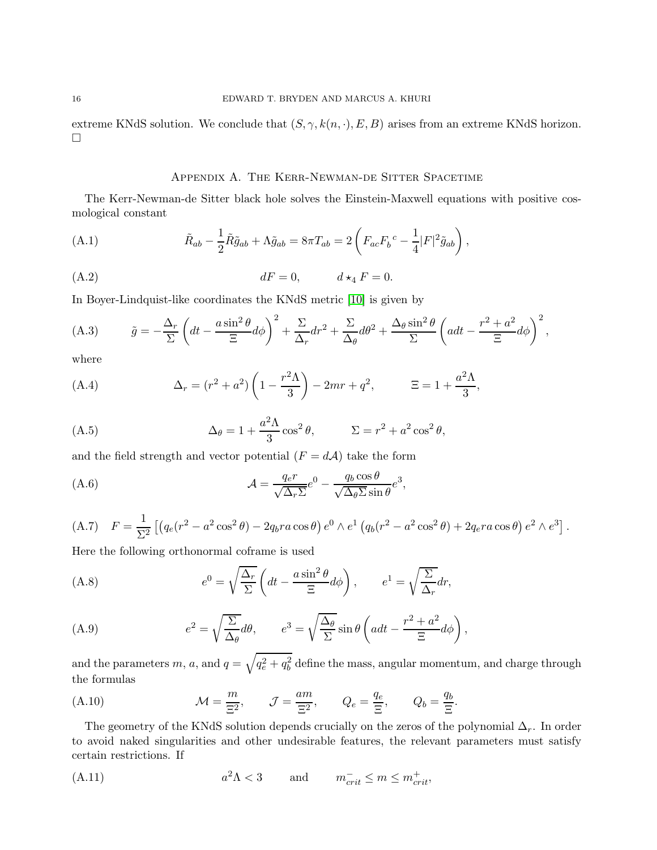<span id="page-15-0"></span>extreme KNdS solution. We conclude that  $(S, \gamma, k(n, \cdot), E, B)$  arises from an extreme KNdS horizon.  $\Box$ 

## Appendix A. The Kerr-Newman-de Sitter Spacetime

The Kerr-Newman-de Sitter black hole solves the Einstein-Maxwell equations with positive cosmological constant

(A.1) 
$$
\tilde{R}_{ab} - \frac{1}{2} \tilde{R} \tilde{g}_{ab} + \Lambda \tilde{g}_{ab} = 8\pi T_{ab} = 2 \left( F_{ac} F_b{}^c - \frac{1}{4} |F|^2 \tilde{g}_{ab} \right),
$$

$$
(A.2) \t dF = 0, \t d \star_4 F = 0.
$$

In Boyer-Lindquist-like coordinates the KNdS metric [\[10\]](#page-20-20) is given by

(A.3) 
$$
\tilde{g} = -\frac{\Delta_r}{\Sigma} \left( dt - \frac{a \sin^2 \theta}{\Xi} d\phi \right)^2 + \frac{\Sigma}{\Delta_r} dr^2 + \frac{\Sigma}{\Delta_\theta} d\theta^2 + \frac{\Delta_\theta \sin^2 \theta}{\Sigma} \left( a dt - \frac{r^2 + a^2}{\Xi} d\phi \right)^2,
$$

where

(A.4) 
$$
\Delta_r = (r^2 + a^2) \left( 1 - \frac{r^2 \Lambda}{3} \right) - 2mr + q^2, \qquad \Xi = 1 + \frac{a^2 \Lambda}{3},
$$

(A.5) 
$$
\Delta_{\theta} = 1 + \frac{a^2 \Lambda}{3} \cos^2 \theta, \qquad \Sigma = r^2 + a^2 \cos^2 \theta,
$$

and the field strength and vector potential  $(F = dA)$  take the form

(A.6) 
$$
\mathcal{A} = \frac{q_e r}{\sqrt{\Delta_r \Sigma}} e^0 - \frac{q_b \cos \theta}{\sqrt{\Delta_\theta \Sigma} \sin \theta} e^3,
$$

$$
(A.7) \quad F = \frac{1}{\Sigma^2} \left[ \left( q_e (r^2 - a^2 \cos^2 \theta) - 2q_b r a \cos \theta \right) e^0 \wedge e^1 \left( q_b (r^2 - a^2 \cos^2 \theta) + 2q_e r a \cos \theta \right) e^2 \wedge e^3 \right].
$$

Here the following orthonormal coframe is used

<span id="page-15-1"></span>(A.8) 
$$
e^{0} = \sqrt{\frac{\Delta_{r}}{\Sigma}} \left( dt - \frac{a \sin^{2} \theta}{\Xi} d\phi \right), \qquad e^{1} = \sqrt{\frac{\Sigma}{\Delta_{r}}} dr,
$$

<span id="page-15-2"></span>(A.9) 
$$
e^{2} = \sqrt{\frac{\Sigma}{\Delta_{\theta}}} d\theta, \qquad e^{3} = \sqrt{\frac{\Delta_{\theta}}{\Sigma}} \sin \theta \left( a dt - \frac{r^{2} + a^{2}}{\Xi} d\phi \right),
$$

and the parameters  $m$ ,  $a$ , and  $q = \sqrt{q_e^2 + q_b^2}$  define the mass, angular momentum, and charge through the formulas

<span id="page-15-3"></span>(A.10) 
$$
\mathcal{M} = \frac{m}{\Xi^2}, \qquad \mathcal{J} = \frac{am}{\Xi^2}, \qquad Q_e = \frac{q_e}{\Xi}, \qquad Q_b = \frac{q_b}{\Xi}.
$$

The geometry of the KNdS solution depends crucially on the zeros of the polynomial  $\Delta_r$ . In order to avoid naked singularities and other undesirable features, the relevant parameters must satisfy certain restrictions. If

<span id="page-15-4"></span>(A.11) 
$$
a^2 \Lambda < 3 \qquad \text{and} \qquad m_{crit}^- \le m \le m_{crit}^+,
$$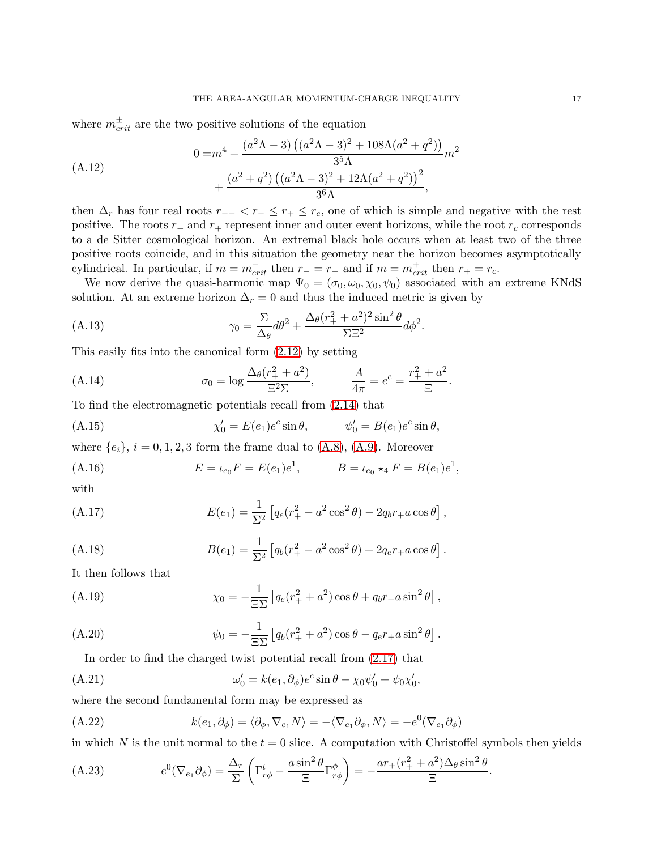where  $m_{crit}^{\pm}$  are the two positive solutions of the equation

$$
(A.12)
$$
\n
$$
0 = m^{4} + \frac{(a^{2}\Lambda - 3) ((a^{2}\Lambda - 3)^{2} + 108\Lambda(a^{2} + q^{2}))}{3^{5}\Lambda}m^{2} + \frac{(a^{2} + q^{2}) ((a^{2}\Lambda - 3)^{2} + 12\Lambda(a^{2} + q^{2}))^{2}}{3^{6}\Lambda},
$$

then  $\Delta_r$  has four real roots  $r_{-} < r_{-} \leq r_{+} \leq r_c$ , one of which is simple and negative with the rest positive. The roots  $r_$  and  $r_+$  represent inner and outer event horizons, while the root  $r_c$  corresponds to a de Sitter cosmological horizon. An extremal black hole occurs when at least two of the three positive roots coincide, and in this situation the geometry near the horizon becomes asymptotically cylindrical. In particular, if  $m = m_{crit}^-$  then  $r_+ = r_+$  and if  $m = m_{crit}^+$  then  $r_+ = r_c$ .

We now derive the quasi-harmonic map  $\Psi_0 = (\sigma_0, \omega_0, \chi_0, \psi_0)$  associated with an extreme KNdS solution. At an extreme horizon  $\Delta_r = 0$  and thus the induced metric is given by

(A.13) 
$$
\gamma_0 = \frac{\Sigma}{\Delta_{\theta}} d\theta^2 + \frac{\Delta_{\theta}(r_+^2 + a^2)^2 \sin^2 \theta}{\Sigma \Xi^2} d\phi^2.
$$

This easily fits into the canonical form [\(2.12\)](#page-4-3) by setting

(A.14) 
$$
\sigma_0 = \log \frac{\Delta_{\theta}(r_+^2 + a^2)}{\Xi^2 \Sigma}, \qquad \frac{A}{4\pi} = e^c = \frac{r_+^2 + a^2}{\Xi}.
$$

To find the electromagnetic potentials recall from [\(2.14\)](#page-4-1) that

(A.15) 
$$
\chi'_0 = E(e_1)e^c \sin \theta, \qquad \psi'_0 = B(e_1)e^c \sin \theta,
$$

where  ${e_i}$ ,  $i = 0, 1, 2, 3$  form the frame dual to  $(A.8)$ ,  $(A.9)$ . Moreover

(A.16) 
$$
E = \iota_{e_0} F = E(e_1)e^1, \qquad B = \iota_{e_0} \star_4 F = B(e_1)e^1,
$$

with

(A.17) 
$$
E(e_1) = \frac{1}{\Sigma^2} \left[ q_e (r_+^2 - a^2 \cos^2 \theta) - 2q_b r_+ a \cos \theta \right],
$$

(A.18) 
$$
B(e_1) = \frac{1}{\Sigma^2} \left[ q_b(r_+^2 - a^2 \cos^2 \theta) + 2q_e r_+ a \cos \theta \right].
$$

It then follows that

(A.19) 
$$
\chi_0 = -\frac{1}{\Xi\Sigma} \left[ q_e (r_+^2 + a^2) \cos \theta + q_b r_+ a \sin^2 \theta \right],
$$

(A.20) 
$$
\psi_0 = -\frac{1}{\Xi\Sigma} \left[ q_b(r_+^2 + a^2) \cos\theta - q_e r_+ a \sin^2\theta \right].
$$

In order to find the charged twist potential recall from [\(2.17\)](#page-4-2) that

$$
\omega_0' = k(e_1, \partial_\phi)e^c \sin \theta - \chi_0 \psi_0' + \psi_0 \chi_0',
$$

where the second fundamental form may be expressed as

(A.22) 
$$
k(e_1, \partial_{\phi}) = \langle \partial_{\phi}, \nabla_{e_1} N \rangle = -\langle \nabla_{e_1} \partial_{\phi}, N \rangle = -e^0(\nabla_{e_1} \partial_{\phi})
$$

in which N is the unit normal to the  $t = 0$  slice. A computation with Christoffel symbols then yields

.

<span id="page-16-0"></span>(A.23) 
$$
e^{0}(\nabla_{e_{1}}\partial_{\phi}) = \frac{\Delta_{r}}{\Sigma} \left(\Gamma^{t}_{r\phi} - \frac{a\sin^{2}\theta}{\Xi}\Gamma^{\phi}_{r\phi}\right) = -\frac{ar_{+}(r_{+}^{2} + a^{2})\Delta_{\theta}\sin^{2}\theta}{\Xi}
$$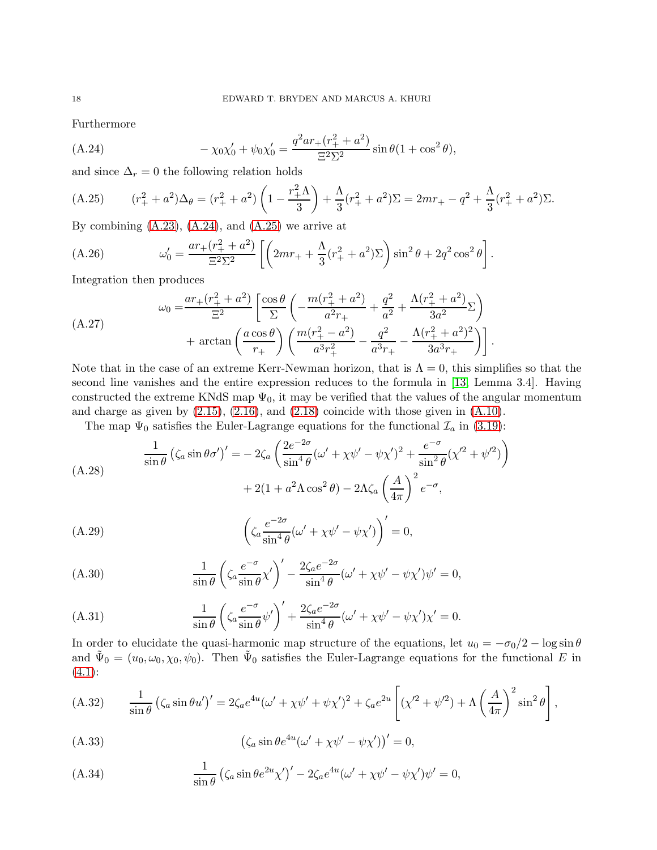Furthermore

<span id="page-17-0"></span>(A.24) 
$$
-\chi_0\chi'_0 + \psi_0\chi'_0 = \frac{q^2ar_+(r_+^2 + a^2)}{\Xi^2\Sigma^2}\sin\theta(1+\cos^2\theta),
$$

and since  $\Delta_r = 0$  the following relation holds

<span id="page-17-1"></span>(A.25) 
$$
(r_{+}^{2} + a^{2})\Delta_{\theta} = (r_{+}^{2} + a^{2})\left(1 - \frac{r_{+}^{2}\Lambda}{3}\right) + \frac{\Lambda}{3}(r_{+}^{2} + a^{2})\Sigma = 2mr_{+} - q^{2} + \frac{\Lambda}{3}(r_{+}^{2} + a^{2})\Sigma.
$$

By combining  $(A.23)$ ,  $(A.24)$ , and  $(A.25)$  we arrive at

(A.26) 
$$
\omega'_0 = \frac{ar_+(r_+^2 + a^2)}{\Xi^2 \Sigma^2} \left[ \left( 2mr_+ + \frac{\Lambda}{3} (r_+^2 + a^2) \Sigma \right) \sin^2 \theta + 2q^2 \cos^2 \theta \right].
$$

Integration then produces

$$
\omega_0 = \frac{ar_+(r_+^2 + a^2)}{\Xi^2} \left[ \frac{\cos \theta}{\Sigma} \left( -\frac{m(r_+^2 + a^2)}{a^2 r_+} + \frac{q^2}{a^2} + \frac{\Lambda(r_+^2 + a^2)}{3a^2} \Sigma \right) + \arctan \left( \frac{a \cos \theta}{r_+} \right) \left( \frac{m(r_+^2 - a^2)}{a^3 r_+^2} - \frac{q^2}{a^3 r_+} - \frac{\Lambda(r_+^2 + a^2)^2}{3a^3 r_+} \right) \right].
$$

Note that in the case of an extreme Kerr-Newman horizon, that is  $\Lambda = 0$ , this simplifies so that the second line vanishes and the entire expression reduces to the formula in [\[13,](#page-20-7) Lemma 3.4]. Having constructed the extreme KNdS map  $\Psi_0$ , it may be verified that the values of the angular momentum and charge as given by  $(2.15)$ ,  $(2.16)$ , and  $(2.18)$  coincide with those given in  $(A.10)$ .

The map  $\Psi_0$  satisfies the Euler-Lagrange equations for the functional  $\mathcal{I}_a$  in [\(3.19\)](#page-7-1):

$$
\frac{1}{\sin \theta} \left( \zeta_a \sin \theta \sigma' \right)' = -2\zeta_a \left( \frac{2e^{-2\sigma}}{\sin^4 \theta} (\omega' + \chi \psi' - \psi \chi')^2 + \frac{e^{-\sigma}}{\sin^2 \theta} (\chi'^2 + \psi'^2) \right) \n+ 2(1 + a^2 \Lambda \cos^2 \theta) - 2\Lambda \zeta_a \left( \frac{A}{4\pi} \right)^2 e^{-\sigma},
$$

(A.29) 
$$
\left(\zeta_a \frac{e^{-2\sigma}}{\sin^4 \theta} (\omega' + \chi \psi' - \psi \chi')\right)' = 0,
$$

(A.30) 
$$
\frac{1}{\sin \theta} \left( \zeta_a \frac{e^{-\sigma}}{\sin \theta} \chi' \right)' - \frac{2\zeta_a e^{-2\sigma}}{\sin^4 \theta} (\omega' + \chi \psi' - \psi \chi') \psi' = 0,
$$

(A.31) 
$$
\frac{1}{\sin \theta} \left( \zeta_a \frac{e^{-\sigma}}{\sin \theta} \psi' \right)' + \frac{2\zeta_a e^{-2\sigma}}{\sin^4 \theta} (\omega' + \chi \psi' - \psi \chi') \chi' = 0.
$$

In order to elucidate the quasi-harmonic map structure of the equations, let  $u_0 = -\sigma_0/2 - \log \sin \theta$ and  $\tilde{\Psi}_0 = (u_0, \omega_0, \chi_0, \psi_0)$ . Then  $\tilde{\Psi}_0$  satisfies the Euler-Lagrange equations for the functional E in  $(4.1):$  $(4.1):$ 

(A.32) 
$$
\frac{1}{\sin \theta} (\zeta_a \sin \theta u')' = 2\zeta_a e^{4u} (\omega' + \chi \psi' + \psi \chi')^2 + \zeta_a e^{2u} \left[ (\chi'^2 + \psi'^2) + \Lambda \left( \frac{A}{4\pi} \right)^2 \sin^2 \theta \right],
$$

(A.33) 
$$
\left(\zeta_a \sin \theta e^{4u} (\omega' + \chi \psi' - \psi \chi')\right)' = 0,
$$

(A.34) 
$$
\frac{1}{\sin \theta} (\zeta_a \sin \theta e^{2u} \chi')' - 2\zeta_a e^{4u} (\omega' + \chi \psi' - \psi \chi') \psi' = 0,
$$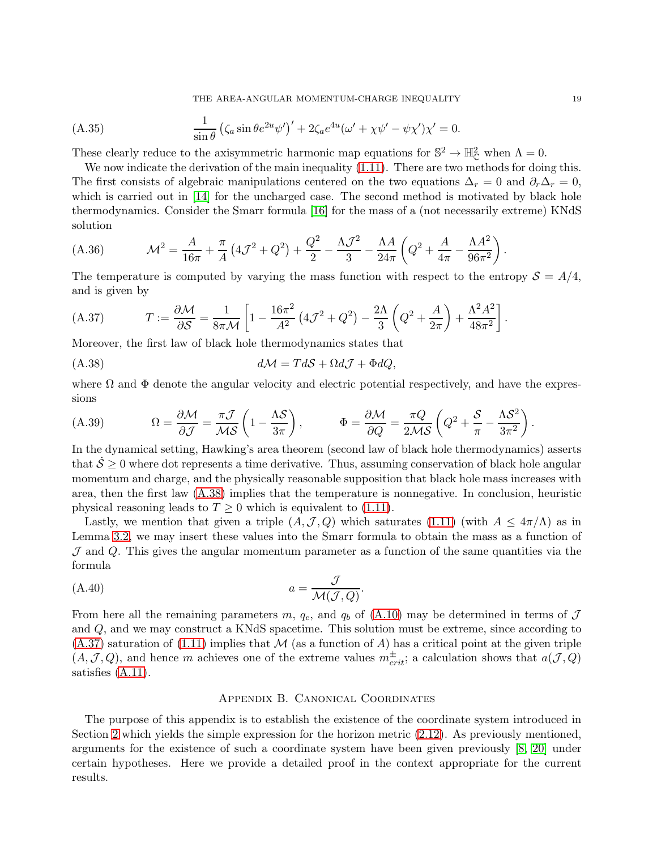THE AREA-ANGULAR MOMENTUM-CHARGE INEQUALITY 19

(A.35) 
$$
\frac{1}{\sin \theta} \left( \zeta_a \sin \theta e^{2u} \psi' \right)' + 2 \zeta_a e^{4u} (\omega' + \chi \psi' - \psi \chi') \chi' = 0.
$$

These clearly reduce to the axisymmetric harmonic map equations for  $\mathbb{S}^2 \to \mathbb{H}_{\mathbb{C}}^2$  when  $\Lambda = 0$ .

We now indicate the derivation of the main inequality  $(1.11)$ . There are two methods for doing this. The first consists of algebraic manipulations centered on the two equations  $\Delta_r = 0$  and  $\partial_r \Delta_r = 0$ , which is carried out in [\[14\]](#page-20-8) for the uncharged case. The second method is motivated by black hole thermodynamics. Consider the Smarr formula [\[16\]](#page-20-23) for the mass of a (not necessarily extreme) KNdS solution

(A.36) 
$$
\mathcal{M}^2 = \frac{A}{16\pi} + \frac{\pi}{A} \left( 4\mathcal{J}^2 + Q^2 \right) + \frac{Q^2}{2} - \frac{\Lambda \mathcal{J}^2}{3} - \frac{\Lambda A}{24\pi} \left( Q^2 + \frac{A}{4\pi} - \frac{\Lambda A^2}{96\pi^2} \right)
$$

The temperature is computed by varying the mass function with respect to the entropy  $S = A/4$ , and is given by

<span id="page-18-2"></span>(A.37) 
$$
T := \frac{\partial \mathcal{M}}{\partial \mathcal{S}} = \frac{1}{8\pi \mathcal{M}} \left[ 1 - \frac{16\pi^2}{A^2} \left( 4\mathcal{J}^2 + Q^2 \right) - \frac{2\Lambda}{3} \left( Q^2 + \frac{A}{2\pi} \right) + \frac{\Lambda^2 A^2}{48\pi^2} \right].
$$

Moreover, the first law of black hole thermodynamics states that

<span id="page-18-1"></span>
$$
(A.38) \t d\mathcal{M} = Td\mathcal{S} + \Omega d\mathcal{J} + \Phi dQ,
$$

where  $\Omega$  and  $\Phi$  denote the angular velocity and electric potential respectively, and have the expressions

(A.39) 
$$
\Omega = \frac{\partial \mathcal{M}}{\partial \mathcal{J}} = \frac{\pi \mathcal{J}}{\mathcal{M} \mathcal{S}} \left( 1 - \frac{\Lambda \mathcal{S}}{3\pi} \right), \qquad \Phi = \frac{\partial \mathcal{M}}{\partial Q} = \frac{\pi Q}{2\mathcal{M} \mathcal{S}} \left( Q^2 + \frac{\mathcal{S}}{\pi} - \frac{\Lambda \mathcal{S}^2}{3\pi^2} \right)
$$

In the dynamical setting, Hawking's area theorem (second law of black hole thermodynamics) asserts that  $\dot{\mathcal{S}} \geq 0$  where dot represents a time derivative. Thus, assuming conservation of black hole angular momentum and charge, and the physically reasonable supposition that black hole mass increases with area, then the first law [\(A.38\)](#page-18-1) implies that the temperature is nonnegative. In conclusion, heuristic physical reasoning leads to  $T \geq 0$  which is equivalent to [\(1.11\)](#page-2-0).

Lastly, we mention that given a triple  $(A, \mathcal{J}, Q)$  which saturates [\(1.11\)](#page-2-0) (with  $A \leq 4\pi/\Lambda$ ) as in Lemma [3.2,](#page-7-2) we may insert these values into the Smarr formula to obtain the mass as a function of  $J$  and  $Q$ . This gives the angular momentum parameter as a function of the same quantities via the formula

$$
(A.40) \t\t a = \frac{\mathcal{J}}{\mathcal{M}(\mathcal{J}, Q)}.
$$

From here all the remaining parameters m,  $q_e$ , and  $q_b$  of [\(A.10\)](#page-15-3) may be determined in terms of  $\mathcal J$ and Q, and we may construct a KNdS spacetime. This solution must be extreme, since according to  $(A.37)$  saturation of  $(1.11)$  implies that M (as a function of A) has a critical point at the given triple  $(A, \mathcal{J}, Q)$ , and hence m achieves one of the extreme values  $m_{crit}^{\pm}$ ; a calculation shows that  $a(\mathcal{J}, Q)$ satisfies [\(A.11\)](#page-15-4).

## Appendix B. Canonical Coordinates

<span id="page-18-0"></span>The purpose of this appendix is to establish the existence of the coordinate system introduced in Section [2](#page-3-1) which yields the simple expression for the horizon metric [\(2.12\)](#page-4-3). As previously mentioned, arguments for the existence of such a coordinate system have been given previously [\[8,](#page-20-22) [20\]](#page-20-11) under certain hypotheses. Here we provide a detailed proof in the context appropriate for the current results.

.

.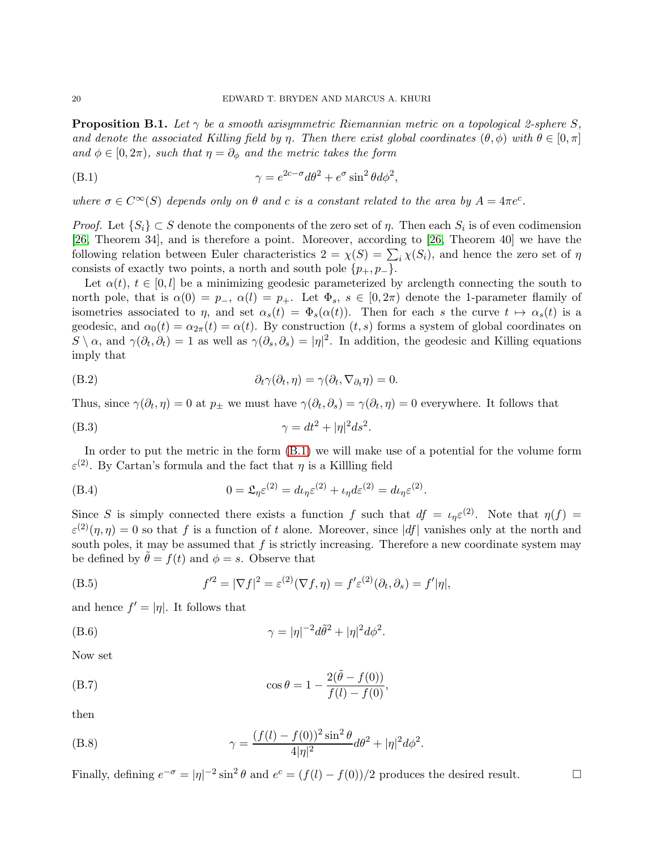**Proposition B.1.** Let  $\gamma$  be a smooth axisymmetric Riemannian metric on a topological 2-sphere S, and denote the associated Killing field by η. Then there exist global coordinates  $(\theta, \phi)$  with  $\theta \in [0, \pi]$ and  $\phi \in [0, 2\pi)$ , such that  $\eta = \partial_{\phi}$  and the metric takes the form

<span id="page-19-0"></span>(B.1) 
$$
\gamma = e^{2c - \sigma} d\theta^2 + e^{\sigma} \sin^2 \theta d\phi^2,
$$

where  $\sigma \in C^{\infty}(S)$  depends only on  $\theta$  and c is a constant related to the area by  $A = 4\pi e^{c}$ .

*Proof.* Let  $\{S_i\} \subset S$  denote the components of the zero set of  $\eta$ . Then each  $S_i$  is of even codimension [\[26,](#page-21-3) Theorem 34], and is therefore a point. Moreover, according to [\[26,](#page-21-3) Theorem 40] we have the following relation between Euler characteristics  $2 = \chi(S) = \sum_i \chi(S_i)$ , and hence the zero set of  $\eta$ consists of exactly two points, a north and south pole  $\{p_+, p_-\}.$ 

Let  $\alpha(t), t \in [0, l]$  be a minimizing geodesic parameterized by arclength connecting the south to north pole, that is  $\alpha(0) = p_-, \alpha(l) = p_+$ . Let  $\Phi_s$ ,  $s \in [0, 2\pi)$  denote the 1-parameter flamily of isometries associated to  $\eta$ , and set  $\alpha_s(t) = \Phi_s(\alpha(t))$ . Then for each s the curve  $t \mapsto \alpha_s(t)$  is a geodesic, and  $\alpha_0(t) = \alpha_{2\pi}(t) = \alpha(t)$ . By construction  $(t, s)$  forms a system of global coordinates on  $S \setminus \alpha$ , and  $\gamma(\partial_t, \partial_t) = 1$  as well as  $\gamma(\partial_s, \partial_s) = |\eta|^2$ . In addition, the geodesic and Killing equations imply that

(B.2) 
$$
\partial_t \gamma(\partial_t, \eta) = \gamma(\partial_t, \nabla_{\partial_t} \eta) = 0.
$$

Thus, since  $\gamma(\partial_t, \eta) = 0$  at  $p_{\pm}$  we must have  $\gamma(\partial_t, \partial_s) = \gamma(\partial_t, \eta) = 0$  everywhere. It follows that

(B.3) 
$$
\gamma = dt^2 + |\eta|^2 ds^2.
$$

In order to put the metric in the form [\(B.1\)](#page-19-0) we will make use of a potential for the volume form  $\varepsilon$ <sup>(2)</sup>. By Cartan's formula and the fact that  $\eta$  is a Killling field

(B.4) 
$$
0 = \mathfrak{L}_{\eta} \varepsilon^{(2)} = d \iota_{\eta} \varepsilon^{(2)} + \iota_{\eta} d \varepsilon^{(2)} = d \iota_{\eta} \varepsilon^{(2)}.
$$

Since S is simply connected there exists a function f such that  $df = \iota_{\eta} \varepsilon^{(2)}$ . Note that  $\eta(f) =$  $\varepsilon^{(2)}(\eta,\eta) = 0$  so that f is a function of t alone. Moreover, since  $|df|$  vanishes only at the north and south poles, it may be assumed that  $f$  is strictly increasing. Therefore a new coordinate system may be defined by  $\theta = f(t)$  and  $\phi = s$ . Observe that

(B.5) 
$$
f'^2 = |\nabla f|^2 = \varepsilon^{(2)}(\nabla f, \eta) = f'\varepsilon^{(2)}(\partial_t, \partial_s) = f'|\eta|,
$$

and hence  $f' = |\eta|$ . It follows that

(B.6) 
$$
\gamma = |\eta|^{-2}d\tilde{\theta}^2 + |\eta|^2 d\phi^2.
$$

Now set

(B.7) 
$$
\cos \theta = 1 - \frac{2(\tilde{\theta} - f(0))}{f(l) - f(0)},
$$

then

(B.8) 
$$
\gamma = \frac{(f(l) - f(0))^2 \sin^2 \theta}{4|\eta|^2} d\theta^2 + |\eta|^2 d\phi^2.
$$

Finally, defining  $e^{-\sigma} = |\eta|^{-2} \sin^2 \theta$  and  $e^c = (f(l) - f(0))/2$  produces the desired result.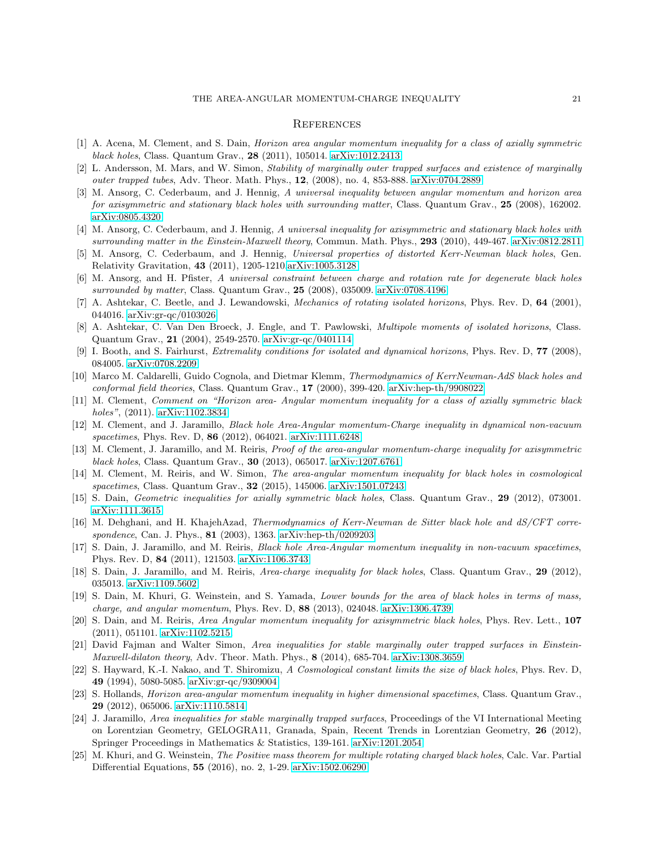#### THE AREA-ANGULAR MOMENTUM-CHARGE INEQUALITY 21

#### **REFERENCES**

- <span id="page-20-19"></span>[1] A. Acena, M. Clement, and S. Dain, Horizon area angular momentum inequality for a class of axially symmetric black holes, Class. Quantum Grav., 28 (2011), 105014. [arXiv:1012.2413](http://arxiv.org/abs/1012.2413)
- <span id="page-20-1"></span>[2] L. Andersson, M. Mars, and W. Simon, Stability of marginally outer trapped surfaces and existence of marginally outer trapped tubes, Adv. Theor. Math. Phys., 12, (2008), no. 4, 853-888. [arXiv:0704.2889](http://arxiv.org/abs/0704.2889)
- [3] M. Ansorg, C. Cederbaum, and J. Hennig, A universal inequality between angular momentum and horizon area for axisymmetric and stationary black holes with surrounding matter, Class. Quantum Grav., 25 (2008), 162002. [arXiv:0805.4320](http://arxiv.org/abs/0805.4320)
- <span id="page-20-3"></span><span id="page-20-2"></span>[4] M. Ansorg, C. Cederbaum, and J. Hennig, A universal inequality for axisymmetric and stationary black holes with surrounding matter in the Einstein-Maxwell theory, Commun. Math. Phys., 293 (2010), 449-467. [arXiv:0812.2811](http://arxiv.org/abs/0812.2811)
- <span id="page-20-4"></span>[5] M. Ansorg, C. Cederbaum, and J. Hennig, Universal properties of distorted Kerr-Newman black holes, Gen. Relativity Gravitation, 43 (2011), 1205-1210[.arXiv:1005.3128](http://arxiv.org/abs/1005.3128)
- [6] M. Ansorg, and H. Pfister, A universal constraint between charge and rotation rate for degenerate black holes surrounded by matter, Class. Quantum Grav., 25 (2008), 035009. [arXiv:0708.4196](http://arxiv.org/abs/0708.4196)
- <span id="page-20-16"></span>[7] A. Ashtekar, C. Beetle, and J. Lewandowski, Mechanics of rotating isolated horizons, Phys. Rev. D, 64 (2001), 044016. [arXiv:gr-qc/0103026](http://arxiv.org/abs/gr-qc/0103026)
- <span id="page-20-22"></span>[8] A. Ashtekar, C. Van Den Broeck, J. Engle, and T. Pawlowski, Multipole moments of isolated horizons, Class. Quantum Grav., 21 (2004), 2549-2570. [arXiv:gr-qc/0401114](http://arxiv.org/abs/gr-qc/0401114)
- <span id="page-20-20"></span><span id="page-20-17"></span>[9] I. Booth, and S. Fairhurst, Extremality conditions for isolated and dynamical horizons, Phys. Rev. D, 77 (2008), 084005. [arXiv:0708.2209](http://arxiv.org/abs/0708.2209)
- [10] Marco M. Caldarelli, Guido Cognola, and Dietmar Klemm, Thermodynamics of KerrNewman-AdS black holes and conformal field theories, Class. Quantum Grav., 17 (2000), 399-420. [arXiv:hep-th/9908022](http://arxiv.org/abs/hep-th/9908022)
- <span id="page-20-5"></span>[11] M. Clement, Comment on "Horizon area- Angular momentum inequality for a class of axially symmetric black holes", (2011). [arXiv:1102.3834](http://arxiv.org/abs/1102.3834)
- <span id="page-20-6"></span>[12] M. Clement, and J. Jaramillo, Black hole Area-Angular momentum-Charge inequality in dynamical non-vacuum spacetimes, Phys. Rev. D, 86 (2012), 064021. [arXiv:1111.6248](http://arxiv.org/abs/1111.6248)
- <span id="page-20-7"></span>[13] M. Clement, J. Jaramillo, and M. Reiris, Proof of the area-angular momentum-charge inequality for axisymmetric black holes, Class. Quantum Grav., 30 (2013), 065017. [arXiv:1207.6761](http://arxiv.org/abs/1207.6761)
- <span id="page-20-8"></span>[14] M. Clement, M. Reiris, and W. Simon, The area-angular momentum inequality for black holes in cosmological spacetimes, Class. Quantum Grav., **32** (2015), 145006. [arXiv:1501.07243](http://arxiv.org/abs/1501.07243)
- <span id="page-20-23"></span><span id="page-20-0"></span>[15] S. Dain, Geometric inequalities for axially symmetric black holes, Class. Quantum Grav., 29 (2012), 073001. [arXiv:1111.3615](http://arxiv.org/abs/1111.3615)
- [16] M. Dehghani, and H. KhajehAzad, Thermodynamics of Kerr-Newman de Sitter black hole and dS/CFT correspondence, Can. J. Phys., 81 (2003), 1363. [arXiv:hep-th/0209203](http://arxiv.org/abs/hep-th/0209203)
- <span id="page-20-9"></span>[17] S. Dain, J. Jaramillo, and M. Reiris, Black hole Area-Angular momentum inequality in non-vacuum spacetimes, Phys. Rev. D, 84 (2011), 121503. [arXiv:1106.3743](http://arxiv.org/abs/1106.3743)
- <span id="page-20-18"></span><span id="page-20-10"></span>[18] S. Dain, J. Jaramillo, and M. Reiris, Area-charge inequality for black holes, Class. Quantum Grav., 29 (2012), 035013. [arXiv:1109.5602](http://arxiv.org/abs/1109.5602)
- [19] S. Dain, M. Khuri, G. Weinstein, and S. Yamada, Lower bounds for the area of black holes in terms of mass, charge, and angular momentum, Phys. Rev. D, 88 (2013), 024048. [arXiv:1306.4739](http://arxiv.org/abs/1306.4739)
- <span id="page-20-11"></span>[20] S. Dain, and M. Reiris, Area Angular momentum inequality for axisymmetric black holes, Phys. Rev. Lett., 107 (2011), 051101. [arXiv:1102.5215.](http://arxiv.org/abs/1102.5215)
- <span id="page-20-12"></span>[21] David Fajman and Walter Simon, Area inequalities for stable marginally outer trapped surfaces in Einstein-Maxwell-dilaton theory, Adv. Theor. Math. Phys., 8 (2014), 685-704. [arXiv:1308.3659](http://arxiv.org/abs/1308.3659)
- <span id="page-20-15"></span>[22] S. Hayward, K.-I. Nakao, and T. Shiromizu, A Cosmological constant limits the size of black holes, Phys. Rev. D, 49 (1994), 5080-5085. [arXiv:gr-qc/9309004](http://arxiv.org/abs/gr-qc/9309004)
- <span id="page-20-13"></span>[23] S. Hollands, Horizon area-angular momentum inequality in higher dimensional spacetimes, Class. Quantum Grav., 29 (2012), 065006. [arXiv:1110.5814](http://arxiv.org/abs/1110.5814)
- <span id="page-20-14"></span>[24] J. Jaramillo, Area inequalities for stable marginally trapped surfaces, Proceedings of the VI International Meeting on Lorentzian Geometry, GELOGRA11, Granada, Spain, Recent Trends in Lorentzian Geometry, 26 (2012), Springer Proceedings in Mathematics & Statistics, 139-161. [arXiv:1201.2054](http://arxiv.org/abs/1201.2054)
- <span id="page-20-21"></span>[25] M. Khuri, and G. Weinstein, The Positive mass theorem for multiple rotating charged black holes, Calc. Var. Partial Differential Equations, 55 (2016), no. 2, 1-29. [arXiv:1502.06290](http://arxiv.org/abs/1502.06290)